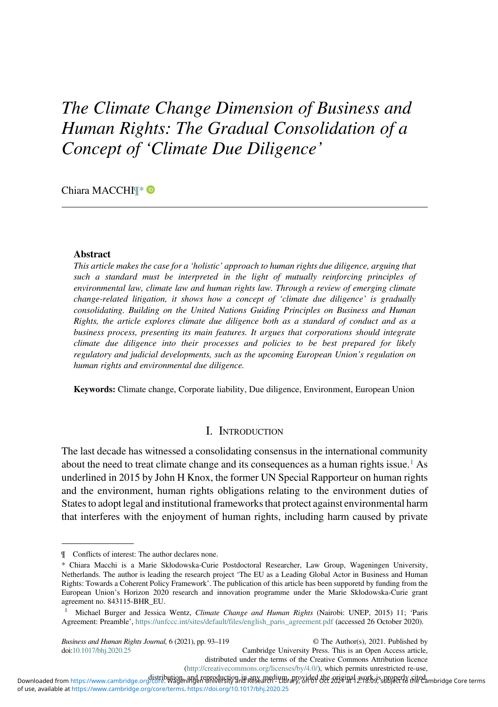# The Climate Change Dimension of Business and Human Rights: The Gradual Consolidation of a Concept of 'Climate Due Diligence'

Chiara MACCHI¶\*

#### Abstract

This article makes the case for a 'holistic' approach to human rights due diligence, arguing that such a standard must be interpreted in the light of mutually reinforcing principles of environmental law, climate law and human rights law. Through a review of emerging climate change-related litigation, it shows how a concept of 'climate due diligence' is gradually consolidating. Building on the United Nations Guiding Principles on Business and Human Rights, the article explores climate due diligence both as a standard of conduct and as a business process, presenting its main features. It argues that corporations should integrate climate due diligence into their processes and policies to be best prepared for likely regulatory and judicial developments, such as the upcoming European Union's regulation on human rights and environmental due diligence.

Keywords: Climate change, Corporate liability, Due diligence, Environment, European Union

#### I. INTRODUCTION

The last decade has witnessed a consolidating consensus in the international community about the need to treat climate change and its consequences as a human rights issue.<sup>1</sup> As underlined in 2015 by John H Knox, the former UN Special Rapporteur on human rights and the environment, human rights obligations relating to the environment duties of States to adopt legal and institutional frameworks that protect against environmental harm that interferes with the enjoyment of human rights, including harm caused by private

Business and Human Rights Journal, 6 (2021), pp. 93–119 doi:[10.1017/bhj.2020.25](https://doi.org/10.1017/bhj.2020.25)

© The Author(s), 2021. Published by Cambridge University Press. This is an Open Access article, distributed under the terms of the Creative Commons Attribution licence ([http://creativecommons.org/licenses/by/4.0/\)](http://creativecommons.org/licenses/by/4.0/), which permits unrestricted re-use,

<sup>¶</sup> Conflicts of interest: The author declares none.

<sup>\*</sup> Chiara Macchi is a Marie Skłodowska-Curie Postdoctoral Researcher, Law Group, Wageningen University, Netherlands. The author is leading the research project 'The EU as a Leading Global Actor in Business and Human Rights: Towards a Coherent Policy Framework'. The publication of this article has been supporetd by funding from the European Union's Horizon 2020 research and innovation programme under the Marie Skłodowska-Curie grant agreement no. 843115-BHR\_EU.

<sup>1</sup> Michael Burger and Jessica Wentz, Climate Change and Human Rights (Nairobi: UNEP, 2015) 11; 'Paris Agreement: Preamble', [https://unfccc.int/sites/default/files/english\\_paris\\_agreement.pdf](https://unfccc.int/sites/default/files/english_paris_agreement.pdf) (accessed 26 October 2020).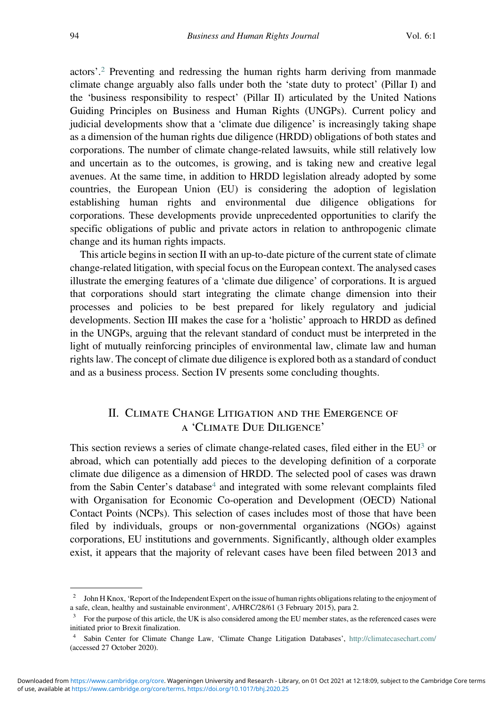actors'. <sup>2</sup> Preventing and redressing the human rights harm deriving from manmade climate change arguably also falls under both the 'state duty to protect' (Pillar I) and the 'business responsibility to respect' (Pillar II) articulated by the United Nations Guiding Principles on Business and Human Rights (UNGPs). Current policy and judicial developments show that a 'climate due diligence' is increasingly taking shape as a dimension of the human rights due diligence (HRDD) obligations of both states and corporations. The number of climate change-related lawsuits, while still relatively low and uncertain as to the outcomes, is growing, and is taking new and creative legal avenues. At the same time, in addition to HRDD legislation already adopted by some countries, the European Union (EU) is considering the adoption of legislation establishing human rights and environmental due diligence obligations for corporations. These developments provide unprecedented opportunities to clarify the specific obligations of public and private actors in relation to anthropogenic climate change and its human rights impacts.

This article begins in section II with an up-to-date picture of the current state of climate change-related litigation, with special focus on the European context. The analysed cases illustrate the emerging features of a 'climate due diligence' of corporations. It is argued that corporations should start integrating the climate change dimension into their processes and policies to be best prepared for likely regulatory and judicial developments. Section III makes the case for a 'holistic' approach to HRDD as defined in the UNGPs, arguing that the relevant standard of conduct must be interpreted in the light of mutually reinforcing principles of environmental law, climate law and human rights law. The concept of climate due diligence is explored both as a standard of conduct and as a business process. Section IV presents some concluding thoughts.

# II. CLIMATE CHANGE LITIGATION AND THE EMERGENCE OF A 'CLIMATE DUE DILIGENCE'

This section reviews a series of climate change-related cases, filed either in the  $EU^3$  or abroad, which can potentially add pieces to the developing definition of a corporate climate due diligence as a dimension of HRDD. The selected pool of cases was drawn from the Sabin Center's database<sup>4</sup> and integrated with some relevant complaints filed with Organisation for Economic Co-operation and Development (OECD) National Contact Points (NCPs). This selection of cases includes most of those that have been filed by individuals, groups or non-governmental organizations (NGOs) against corporations, EU institutions and governments. Significantly, although older examples exist, it appears that the majority of relevant cases have been filed between 2013 and

<sup>2</sup> John H Knox, 'Report of the Independent Expert on the issue of human rights obligations relating to the enjoyment of a safe, clean, healthy and sustainable environment', A/HRC/28/61 (3 February 2015), para 2.

<sup>3</sup> For the purpose of this article, the UK is also considered among the EU member states, as the referenced cases were initiated prior to Brexit finalization.

<sup>4</sup> Sabin Center for Climate Change Law, 'Climate Change Litigation Databases', <http://climatecasechart.com/> (accessed 27 October 2020).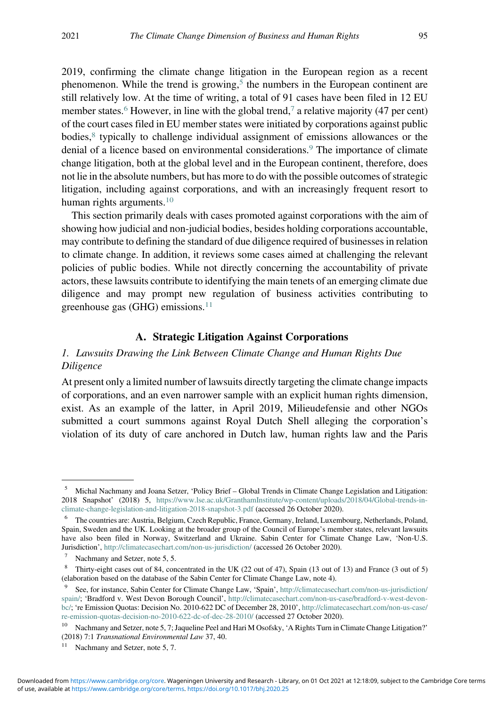2019, confirming the climate change litigation in the European region as a recent phenomenon. While the trend is growing,<sup>5</sup> the numbers in the European continent are still relatively low. At the time of writing, a total of 91 cases have been filed in 12 EU member states.<sup>6</sup> However, in line with the global trend,<sup>7</sup> a relative majority (47 per cent) of the court cases filed in EU member states were initiated by corporations against public bodies, $8$  typically to challenge individual assignment of emissions allowances or the denial of a licence based on environmental considerations.<sup>9</sup> The importance of climate change litigation, both at the global level and in the European continent, therefore, does not lie in the absolute numbers, but has more to do with the possible outcomes of strategic litigation, including against corporations, and with an increasingly frequent resort to human rights arguments. $10$ 

This section primarily deals with cases promoted against corporations with the aim of showing how judicial and non-judicial bodies, besides holding corporations accountable, may contribute to defining the standard of due diligence required of businesses in relation to climate change. In addition, it reviews some cases aimed at challenging the relevant policies of public bodies. While not directly concerning the accountability of private actors, these lawsuits contribute to identifying the main tenets of an emerging climate due diligence and may prompt new regulation of business activities contributing to greenhouse gas (GHG) emissions. $11$ 

#### A. Strategic Litigation Against Corporations

#### 1. Lawsuits Drawing the Link Between Climate Change and Human Rights Due Diligence

At present only a limited number of lawsuits directly targeting the climate change impacts of corporations, and an even narrower sample with an explicit human rights dimension, exist. As an example of the latter, in April 2019, Milieudefensie and other NGOs submitted a court summons against Royal Dutch Shell alleging the corporation's violation of its duty of care anchored in Dutch law, human rights law and the Paris

<sup>5</sup> Michal Nachmany and Joana Setzer, 'Policy Brief – Global Trends in Climate Change Legislation and Litigation: 2018 Snapshot' (2018) 5, [https://www.lse.ac.uk/GranthamInstitute/wp-content/uploads/2018/04/Global-trends-in](https://www.lse.ac.uk/GranthamInstitute/wp-content/uploads/2018/04/Global-trends-in-climate-change-legislation-and-litigation-2018-snapshot-3.pdf)[climate-change-legislation-and-litigation-2018-snapshot-3.pdf](https://www.lse.ac.uk/GranthamInstitute/wp-content/uploads/2018/04/Global-trends-in-climate-change-legislation-and-litigation-2018-snapshot-3.pdf) (accessed 26 October 2020).

<sup>6</sup> The countries are: Austria, Belgium, Czech Republic, France, Germany, Ireland, Luxembourg, Netherlands, Poland, Spain, Sweden and the UK. Looking at the broader group of the Council of Europe's member states, relevant lawsuits have also been filed in Norway, Switzerland and Ukraine. Sabin Center for Climate Change Law, 'Non-U.S. Jurisdiction', <http://climatecasechart.com/non-us-jurisdiction/> (accessed 26 October 2020).

Nachmany and Setzer, note 5, 5.

<sup>8</sup> Thirty-eight cases out of 84, concentrated in the UK (22 out of 47), Spain (13 out of 13) and France (3 out of 5) (elaboration based on the database of the Sabin Center for Climate Change Law, note 4).

<sup>9</sup> See, for instance, Sabin Center for Climate Change Law, 'Spain', [http://climatecasechart.com/non-us-jurisdiction/](http://climatecasechart.com/non-us-jurisdiction/spain/) [spain/](http://climatecasechart.com/non-us-jurisdiction/spain/); 'Bradford v. West Devon Borough Council', [http://climatecasechart.com/non-us-case/bradford-v-west-devon](http://climatecasechart.com/non-us-case/bradford-v-west-devon-bc/)[bc/](http://climatecasechart.com/non-us-case/bradford-v-west-devon-bc/); 're Emission Quotas: Decision No. 2010-622 DC of December 28, 2010', [http://climatecasechart.com/non-us-case/](http://climatecasechart.com/non-us-case/re-emission-quotas-decision-no-2010-622-dc-of-dec-28-2010/) [re-emission-quotas-decision-no-2010-622-dc-of-dec-28-2010/](http://climatecasechart.com/non-us-case/re-emission-quotas-decision-no-2010-622-dc-of-dec-28-2010/) (accessed 27 October 2020).

<sup>&</sup>lt;sup>10</sup> Nachmany and Setzer, note 5, 7; Jaqueline Peel and Hari M Osofsky, 'A Rights Turn in Climate Change Litigation?' (2018) 7:1 Transnational Environmental Law 37, 40.

Nachmany and Setzer, note 5, 7.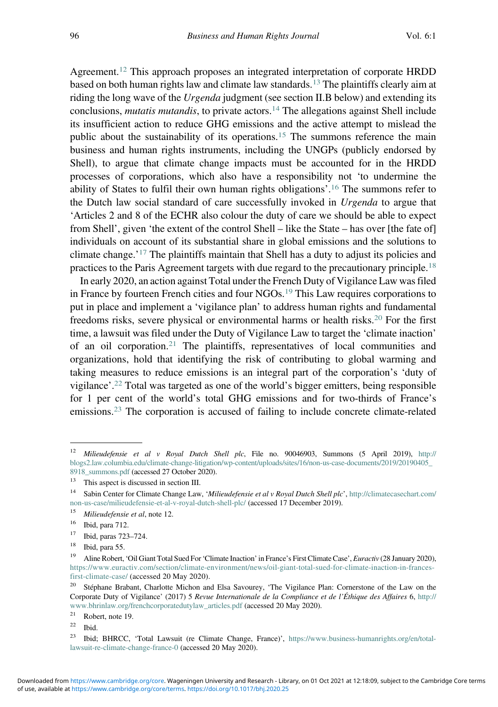Agreement.<sup>12</sup> This approach proposes an integrated interpretation of corporate HRDD based on both human rights law and climate law standards.<sup>13</sup> The plaintiffs clearly aim at riding the long wave of the *Urgenda* judgment (see section II.B below) and extending its conclusions, *mutatis mutandis*, to private actors.<sup>14</sup> The allegations against Shell include its insufficient action to reduce GHG emissions and the active attempt to mislead the public about the sustainability of its operations.<sup>15</sup> The summons reference the main business and human rights instruments, including the UNGPs (publicly endorsed by Shell), to argue that climate change impacts must be accounted for in the HRDD processes of corporations, which also have a responsibility not 'to undermine the ability of States to fulfil their own human rights obligations'. <sup>16</sup> The summons refer to the Dutch law social standard of care successfully invoked in Urgenda to argue that 'Articles 2 and 8 of the ECHR also colour the duty of care we should be able to expect from Shell', given 'the extent of the control Shell – like the State – has over [the fate of] individuals on account of its substantial share in global emissions and the solutions to climate change.'<sup>17</sup> The plaintiffs maintain that Shell has a duty to adjust its policies and practices to the Paris Agreement targets with due regard to the precautionary principle.<sup>18</sup>

In early 2020, an action against Total under the French Duty of Vigilance Law was filed in France by fourteen French cities and four NGOs.<sup>19</sup> This Law requires corporations to put in place and implement a 'vigilance plan' to address human rights and fundamental freedoms risks, severe physical or environmental harms or health risks.<sup>20</sup> For the first time, a lawsuit was filed under the Duty of Vigilance Law to target the 'climate inaction' of an oil corporation.<sup>21</sup> The plaintiffs, representatives of local communities and organizations, hold that identifying the risk of contributing to global warming and taking measures to reduce emissions is an integral part of the corporation's 'duty of vigilance'. <sup>22</sup> Total was targeted as one of the world's bigger emitters, being responsible for 1 per cent of the world's total GHG emissions and for two-thirds of France's emissions.<sup>23</sup> The corporation is accused of failing to include concrete climate-related

<sup>&</sup>lt;sup>12</sup> Milieudefensie et al v Royal Dutch Shell plc, File no. 90046903, Summons (5 April 2019), [http://](http://blogs2.law.columbia.edu/climate-change-litigation/wp-content/uploads/sites/16/non-us-case-documents/2019/20190405_8918_summons.pdf) [blogs2.law.columbia.edu/climate-change-litigation/wp-content/uploads/sites/16/non-us-case-documents/2019/20190405\\_](http://blogs2.law.columbia.edu/climate-change-litigation/wp-content/uploads/sites/16/non-us-case-documents/2019/20190405_8918_summons.pdf) [8918\\_summons.pdf](http://blogs2.law.columbia.edu/climate-change-litigation/wp-content/uploads/sites/16/non-us-case-documents/2019/20190405_8918_summons.pdf) (accessed 27 October 2020).

<sup>&</sup>lt;sup>13</sup> This aspect is discussed in section III.<br><sup>14</sup> Sebin Center for Climate Change Law

Sabin Center for Climate Change Law, 'Milieudefensie et al v Royal Dutch Shell plc', [http://climatecasechart.com/](http://climatecasechart.com/non-us-case/milieudefensie-et-al-v-royal-dutch-shell-plc/) [non-us-case/milieudefensie-et-al-v-royal-dutch-shell-plc/](http://climatecasechart.com/non-us-case/milieudefensie-et-al-v-royal-dutch-shell-plc/) (accessed 17 December 2019).

 $15$  Milieudefensie et al, note 12.

<sup>16</sup> Ibid, para 712.

<sup>17</sup> Ibid, paras 723–724.

<sup>&</sup>lt;sup>18</sup> Ibid, para 55.<br><sup>19</sup> Aline Pobert

<sup>19</sup> Aline Robert, 'Oil Giant Total Sued For 'Climate Inaction' in France's First Climate Case', Euractiv (28 January 2020), [https://www.euractiv.com/section/climate-environment/news/oil-giant-total-sued-for-climate-inaction-in-frances](https://www.euractiv.com/section/climate-environment/news/oil-giant-total-sued-for-climate-inaction-in-frances-first-climate-case/)[first-climate-case/](https://www.euractiv.com/section/climate-environment/news/oil-giant-total-sued-for-climate-inaction-in-frances-first-climate-case/) (accessed 20 May 2020).

<sup>&</sup>lt;sup>20</sup> Stéphane Brabant, Charlotte Michon and Elsa Savourey, 'The Vigilance Plan: Cornerstone of the Law on the Corporate Duty of Vigilance' (2017) 5 Revue Internationale de la Compliance et de l'Éthique des Affaires 6, [http://](http://www.bhrinlaw.org/frenchcorporatedutylaw_articles.pdf) [www.bhrinlaw.org/frenchcorporatedutylaw\\_articles.pdf](http://www.bhrinlaw.org/frenchcorporatedutylaw_articles.pdf) (accessed 20 May 2020).<br><sup>21</sup> Robert note 19

 $^{21}$  Robert, note 19.

 $\frac{22}{1}$  Ibid.<br> $\frac{23}{1}$  Ibid.

<sup>23</sup> Ibid; BHRCC, 'Total Lawsuit (re Climate Change, France)', [https://www.business-humanrights.org/en/total](https://www.business-humanrights.org/en/total-lawsuit-re-climate-change-france-0)[lawsuit-re-climate-change-france-0](https://www.business-humanrights.org/en/total-lawsuit-re-climate-change-france-0) (accessed 20 May 2020).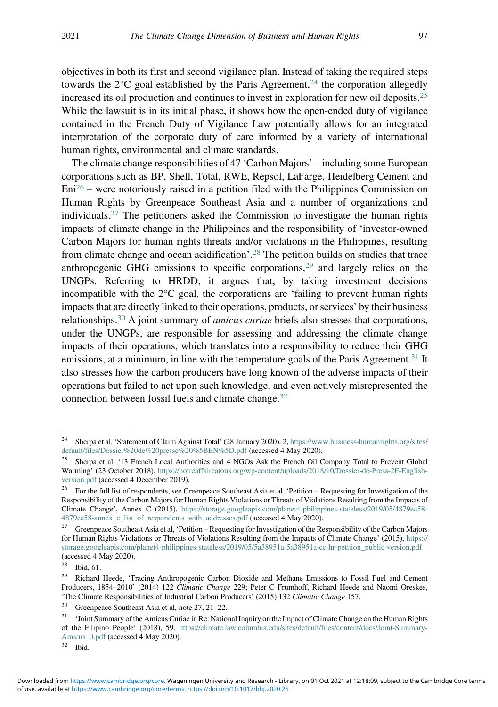objectives in both its first and second vigilance plan. Instead of taking the required steps towards the  $2^{\circ}C$  goal established by the Paris Agreement,<sup>24</sup> the corporation allegedly increased its oil production and continues to invest in exploration for new oil deposits.<sup>25</sup> While the lawsuit is in its initial phase, it shows how the open-ended duty of vigilance contained in the French Duty of Vigilance Law potentially allows for an integrated interpretation of the corporate duty of care informed by a variety of international human rights, environmental and climate standards.

The climate change responsibilities of 47 'Carbon Majors' – including some European corporations such as BP, Shell, Total, RWE, Repsol, LaFarge, Heidelberg Cement and  $Eni<sup>26</sup>$  – were notoriously raised in a petition filed with the Philippines Commission on Human Rights by Greenpeace Southeast Asia and a number of organizations and individuals.<sup>27</sup> The petitioners asked the Commission to investigate the human rights impacts of climate change in the Philippines and the responsibility of 'investor-owned Carbon Majors for human rights threats and/or violations in the Philippines, resulting from climate change and ocean acidification'. <sup>28</sup> The petition builds on studies that trace anthropogenic GHG emissions to specific corporations, $29$  and largely relies on the UNGPs. Referring to HRDD, it argues that, by taking investment decisions incompatible with the  $2^{\circ}C$  goal, the corporations are 'failing to prevent human rights impacts that are directly linked to their operations, products, or services' by their business relationships.<sup>30</sup> A joint summary of *amicus curiae* briefs also stresses that corporations, under the UNGPs, are responsible for assessing and addressing the climate change impacts of their operations, which translates into a responsibility to reduce their GHG emissions, at a minimum, in line with the temperature goals of the Paris Agreement.<sup>31</sup> It also stresses how the carbon producers have long known of the adverse impacts of their operations but failed to act upon such knowledge, and even actively misrepresented the connection between fossil fuels and climate change.<sup>32</sup>

<sup>&</sup>lt;sup>24</sup> Sherpa et al, 'Statement of Claim Against Total' (28 January 2020), 2, [https://www.business-humanrights.org/sites/](https://www.business-humanrights.org/sites/default/files/Dossier%20de%20presse%20%5BEN%5D.pdf) [default/files/Dossier%20de%20presse%20%5BEN%5D.pdf](https://www.business-humanrights.org/sites/default/files/Dossier%20de%20presse%20%5BEN%5D.pdf) (accessed 4 May 2020).

<sup>&</sup>lt;sup>25</sup> Sherpa et al, '13 French Local Authorities and 4 NGOs Ask the French Oil Company Total to Prevent Global Warming' (23 October 2018), [https://notreaffaireatous.org/wp-content/uploads/2018/10/Dossier-de-Press-2F-English](https://notreaffaireatous.org/wp-content/uploads/2018/10/Dossier-de-Press-2F-English-version.pdf)[version.pdf](https://notreaffaireatous.org/wp-content/uploads/2018/10/Dossier-de-Press-2F-English-version.pdf) (accessed 4 December 2019).<br><sup>26</sup> Eer the full list of respondents, see Gt

<sup>26</sup> For the full list of respondents, see Greenpeace Southeast Asia et al, 'Petition – Requesting for Investigation of the Responsibility of the Carbon Majors for Human Rights Violations or Threats of Violations Resulting from the Impacts of Climate Change', Annex C (2015), [https://storage.googleapis.com/planet4-philippines-stateless/2019/05/4879ea58-](https://storage.googleapis.com/planet4-philippines-stateless/2019/05/4879ea58-4879ea58-annex_c_list_of_respondents_with_addresses.pdf) 4879ea58-annex c\_list\_of\_respondents\_with\_addresses.pdf (accessed 4 May 2020).

<sup>&</sup>lt;sup>27</sup> Greenpeace Southeast Asia et al, 'Petition – Requesting for Investigation of the Responsibility of the Carbon Majors for Human Rights Violations or Threats of Violations Resulting from the Impacts of Climate Change' (2015), [https://](https://storage.googleapis.com/planet4-philippines-stateless/2019/05/5a38951a-5a38951a-cc-hr-petition_public-version.pdf) [storage.googleapis.com/planet4-philippines-stateless/2019/05/5a38951a-5a38951a-cc-hr-petition\\_public-version.pdf](https://storage.googleapis.com/planet4-philippines-stateless/2019/05/5a38951a-5a38951a-cc-hr-petition_public-version.pdf) (accessed 4 May 2020).<br> $^{28}$  B i.l.  $\Omega$ 

Ibid, 61.

<sup>&</sup>lt;sup>29</sup> Richard Heede, 'Tracing Anthropogenic Carbon Dioxide and Methane Emissions to Fossil Fuel and Cement Producers, 1854–2010' (2014) 122 Climatic Change 229; Peter C Frumhoff, Richard Heede and Naomi Oreskes, 'The Climate Responsibilities of Industrial Carbon Producers' (2015) 132 Climatic Change 157.

<sup>30</sup> Greenpeace Southeast Asia et al, note 27, 21–22.

<sup>&</sup>lt;sup>31</sup> 'Joint Summary of the Amicus Curiae in Re: National Inquiry on the Impact of Climate Change on the Human Rights of the Filipino People' (2018), 59, [https://climate.law.columbia.edu/sites/default/files/content/docs/Joint-Summary-](https://climate.law.columbia.edu/sites/default/files/content/docs/Joint-Summary-Amicus_0.pdf)[Amicus\\_0.pdf](https://climate.law.columbia.edu/sites/default/files/content/docs/Joint-Summary-Amicus_0.pdf) (accessed 4 May 2020).

<sup>32</sup> Ibid.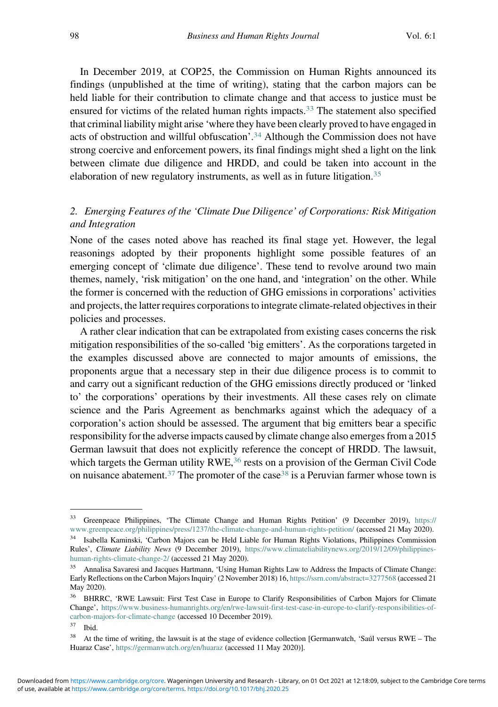In December 2019, at COP25, the Commission on Human Rights announced its findings (unpublished at the time of writing), stating that the carbon majors can be held liable for their contribution to climate change and that access to justice must be ensured for victims of the related human rights impacts.<sup>33</sup> The statement also specified that criminal liability might arise 'where they have been clearly proved to have engaged in acts of obstruction and willful obfuscation'. <sup>34</sup> Although the Commission does not have strong coercive and enforcement powers, its final findings might shed a light on the link between climate due diligence and HRDD, and could be taken into account in the elaboration of new regulatory instruments, as well as in future litigation.<sup>35</sup>

## 2. Emerging Features of the 'Climate Due Diligence' of Corporations: Risk Mitigation and Integration

None of the cases noted above has reached its final stage yet. However, the legal reasonings adopted by their proponents highlight some possible features of an emerging concept of 'climate due diligence'. These tend to revolve around two main themes, namely, 'risk mitigation' on the one hand, and 'integration' on the other. While the former is concerned with the reduction of GHG emissions in corporations' activities and projects, the latter requires corporations to integrate climate-related objectives in their policies and processes.

A rather clear indication that can be extrapolated from existing cases concerns the risk mitigation responsibilities of the so-called 'big emitters'. As the corporations targeted in the examples discussed above are connected to major amounts of emissions, the proponents argue that a necessary step in their due diligence process is to commit to and carry out a significant reduction of the GHG emissions directly produced or 'linked to' the corporations' operations by their investments. All these cases rely on climate science and the Paris Agreement as benchmarks against which the adequacy of a corporation's action should be assessed. The argument that big emitters bear a specific responsibility for the adverse impacts caused by climate change also emerges from a 2015 German lawsuit that does not explicitly reference the concept of HRDD. The lawsuit, which targets the German utility  $RWE<sub>1</sub><sup>36</sup>$  rests on a provision of the German Civil Code on nuisance abatement.<sup>37</sup> The promoter of the case<sup>38</sup> is a Peruvian farmer whose town is

<sup>33</sup> Greenpeace Philippines, 'The Climate Change and Human Rights Petition' (9 December 2019), [https://](https://www.greenpeace.org/philippines/press/1237/the-climate-change-and-human-rights-petition/) [www.greenpeace.org/philippines/press/1237/the-climate-change-and-human-rights-petition/](https://www.greenpeace.org/philippines/press/1237/the-climate-change-and-human-rights-petition/) (accessed 21 May 2020). <sup>34</sup> Isabella Kaminski, 'Carbon Majors can be Held Liable for Human Rights Violations, Philippines Commission Rules', Climate Liability News (9 December 2019), [https://www.climateliabilitynews.org/2019/12/09/philippines](https://www.climateliabilitynews.org/2019/12/09/philippines-human-rights-climate-change-2/)[human-rights-climate-change-2/](https://www.climateliabilitynews.org/2019/12/09/philippines-human-rights-climate-change-2/) (accessed 21 May 2020).

<sup>35</sup> Annalisa Savaresi and Jacques Hartmann, 'Using Human Rights Law to Address the Impacts of Climate Change: Early Reflections on the Carbon Majors Inquiry' (2 November 2018) 16, <https://ssrn.com/abstract=3277568> (accessed 21 May 2020).

<sup>&</sup>lt;sup>36</sup> BHRRC, 'RWE Lawsuit: First Test Case in Europe to Clarify Responsibilities of Carbon Majors for Climate Change', [https://www.business-humanrights.org/en/rwe-lawsuit-first-test-case-in-europe-to-clarify-responsibilities-of](https://www.business-humanrights.org/en/rwe-lawsuit-first-test-case-in-europe-to-clarify-responsibilities-of-carbon-majors-for-climate-change)[carbon-majors-for-climate-change](https://www.business-humanrights.org/en/rwe-lawsuit-first-test-case-in-europe-to-clarify-responsibilities-of-carbon-majors-for-climate-change) (accessed 10 December 2019).<br><sup>37</sup> Ibid

 $37$  Ibid.<br> $38$  At the

<sup>38</sup> At the time of writing, the lawsuit is at the stage of evidence collection [Germanwatch, 'Saúl versus RWE – The Huaraz Case', <https://germanwatch.org/en/huaraz> (accessed 11 May 2020)].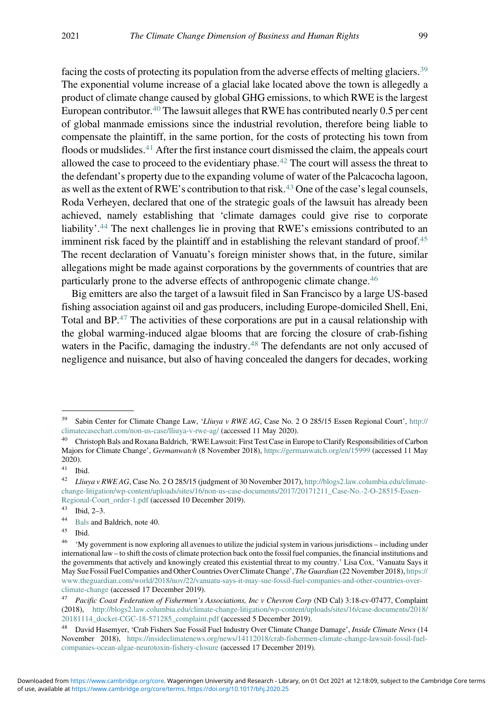facing the costs of protecting its population from the adverse effects of melting glaciers.<sup>39</sup> The exponential volume increase of a glacial lake located above the town is allegedly a product of climate change caused by global GHG emissions, to which RWE is the largest European contributor.<sup>40</sup> The lawsuit alleges that RWE has contributed nearly 0.5 per cent of global manmade emissions since the industrial revolution, therefore being liable to compensate the plaintiff, in the same portion, for the costs of protecting his town from floods or mudslides. $41$  After the first instance court dismissed the claim, the appeals court allowed the case to proceed to the evidentiary phase.<sup>42</sup> The court will assess the threat to the defendant's property due to the expanding volume of water of the Palcacocha lagoon, as well as the extent of RWE's contribution to that risk.<sup>43</sup> One of the case's legal counsels, Roda Verheyen, declared that one of the strategic goals of the lawsuit has already been achieved, namely establishing that 'climate damages could give rise to corporate liability'. <sup>44</sup> The next challenges lie in proving that RWE's emissions contributed to an imminent risk faced by the plaintiff and in establishing the relevant standard of proof.<sup>45</sup> The recent declaration of Vanuatu's foreign minister shows that, in the future, similar allegations might be made against corporations by the governments of countries that are particularly prone to the adverse effects of anthropogenic climate change.<sup>46</sup>

Big emitters are also the target of a lawsuit filed in San Francisco by a large US-based fishing association against oil and gas producers, including Europe-domiciled Shell, Eni, Total and  $BP^{47}$ . The activities of these corporations are put in a causal relationship with the global warming-induced algae blooms that are forcing the closure of crab-fishing waters in the Pacific, damaging the industry.<sup>48</sup> The defendants are not only accused of negligence and nuisance, but also of having concealed the dangers for decades, working

<sup>&</sup>lt;sup>39</sup> Sabin Center for Climate Change Law, 'Lliuya v RWE AG, Case No. 2 O 285/15 Essen Regional Court', [http://](http://climatecasechart.com/non-us-case/lliuya-v-rwe-ag/) [climatecasechart.com/non-us-case/lliuya-v-rwe-ag/](http://climatecasechart.com/non-us-case/lliuya-v-rwe-ag/) (accessed 11 May 2020).

<sup>40</sup> Christoph Bals and Roxana Baldrich, 'RWE Lawsuit: First Test Case in Europe to Clarify Responsibilities of Carbon Majors for Climate Change', Germanwatch (8 November 2018), <https://germanwatch.org/en/15999> (accessed 11 May  $2020$ ).

 $\begin{array}{c} 41 \\ 42 \end{array}$  Ibid.

Lliuya v RWE AG, Case No. 2 O 285/15 (judgment of 30 November 2017), [http://blogs2.law.columbia.edu/climate](http://blogs2.law.columbia.edu/climate-change-litigation/wp-content/uploads/sites/16/non-us-case-documents/2017/20171211_Case-No.-2-O-28515-Essen-Regional-Court_order-1.pdf)[change-litigation/wp-content/uploads/sites/16/non-us-case-documents/2017/20171211\\_Case-No.-2-O-28515-Essen-](http://blogs2.law.columbia.edu/climate-change-litigation/wp-content/uploads/sites/16/non-us-case-documents/2017/20171211_Case-No.-2-O-28515-Essen-Regional-Court_order-1.pdf)[Regional-Court\\_order-1.pdf](http://blogs2.law.columbia.edu/climate-change-litigation/wp-content/uploads/sites/16/non-us-case-documents/2017/20171211_Case-No.-2-O-28515-Essen-Regional-Court_order-1.pdf) (accessed 10 December 2019).

<sup>43</sup> Ibid,  $2-3$ .

<sup>&</sup>lt;sup>44</sup> [Bals](https://germanwatch.org/en/15999) and Baldrich, note 40.

Ibid.

<sup>&</sup>lt;sup>46</sup> 'My government is now exploring all avenues to utilize the judicial system in various jurisdictions – including under international law – to shift the costs of climate protection back onto the fossil fuel companies, the financial institutions and the governments that actively and knowingly created this existential threat to my country.' Lisa Cox, 'Vanuatu Says it May Sue Fossil Fuel Companies and Other Countries Over Climate Change', The Guardian (22 November 2018), [https://](https://www.theguardian.com/world/2018/nov/22/vanuatu-says-it-may-sue-fossil-fuel-companies-and-other-countries-over-climate-change) [www.theguardian.com/world/2018/nov/22/vanuatu-says-it-may-sue-fossil-fuel-companies-and-other-countries-over](https://www.theguardian.com/world/2018/nov/22/vanuatu-says-it-may-sue-fossil-fuel-companies-and-other-countries-over-climate-change)[climate-change](https://www.theguardian.com/world/2018/nov/22/vanuatu-says-it-may-sue-fossil-fuel-companies-and-other-countries-over-climate-change) (accessed 17 December 2019).

<sup>&</sup>lt;sup>47</sup> Pacific Coast Federation of Fishermen's Associations, Inc v Chevron Corp (ND Cal) 3:18-cv-07477, Complaint (2018), [http://blogs2.law.columbia.edu/climate-change-litigation/wp-content/uploads/sites/16/case-documents/2018/](http://blogs2.law.columbia.edu/climate-change-litigation/wp-content/uploads/sites/16/case-documents/2018/20181114_docket-CGC-18-571285_complaint.pdf) [20181114\\_docket-CGC-18-571285\\_complaint.pdf](http://blogs2.law.columbia.edu/climate-change-litigation/wp-content/uploads/sites/16/case-documents/2018/20181114_docket-CGC-18-571285_complaint.pdf) (accessed 5 December 2019).

<sup>&</sup>lt;sup>48</sup> David Hasemver, 'Crab Fishers Sue Fossil Fuel Industry Over Climate Change Damage', *Inside Climate News* (14 November 2018), [https://insideclimatenews.org/news/14112018/crab-fishermen-climate-change-lawsuit-fossil-fuel](https://insideclimatenews.org/news/14112018/crab-fishermen-climate-change-lawsuit-fossil-fuel-companies-ocean-algae-neurotoxin-fishery-closure)[companies-ocean-algae-neurotoxin-fishery-closure](https://insideclimatenews.org/news/14112018/crab-fishermen-climate-change-lawsuit-fossil-fuel-companies-ocean-algae-neurotoxin-fishery-closure) (accessed 17 December 2019).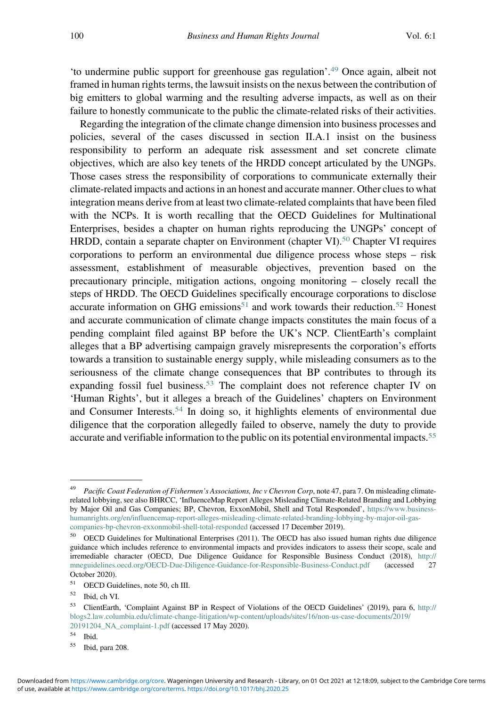'to undermine public support for greenhouse gas regulation'. <sup>49</sup> Once again, albeit not framed in human rights terms, the lawsuit insists on the nexus between the contribution of big emitters to global warming and the resulting adverse impacts, as well as on their failure to honestly communicate to the public the climate-related risks of their activities.

Regarding the integration of the climate change dimension into business processes and policies, several of the cases discussed in section II.A.1 insist on the business responsibility to perform an adequate risk assessment and set concrete climate objectives, which are also key tenets of the HRDD concept articulated by the UNGPs. Those cases stress the responsibility of corporations to communicate externally their climate-related impacts and actions in an honest and accurate manner. Other clues to what integration means derive from at least two climate-related complaints that have been filed with the NCPs. It is worth recalling that the OECD Guidelines for Multinational Enterprises, besides a chapter on human rights reproducing the UNGPs' concept of HRDD, contain a separate chapter on Environment (chapter VI).<sup>50</sup> Chapter VI requires corporations to perform an environmental due diligence process whose steps – risk assessment, establishment of measurable objectives, prevention based on the precautionary principle, mitigation actions, ongoing monitoring – closely recall the steps of HRDD. The OECD Guidelines specifically encourage corporations to disclose accurate information on GHG emissions<sup>51</sup> and work towards their reduction.<sup>52</sup> Honest and accurate communication of climate change impacts constitutes the main focus of a pending complaint filed against BP before the UK's NCP. ClientEarth's complaint alleges that a BP advertising campaign gravely misrepresents the corporation's efforts towards a transition to sustainable energy supply, while misleading consumers as to the seriousness of the climate change consequences that BP contributes to through its expanding fossil fuel business.<sup>53</sup> The complaint does not reference chapter IV on 'Human Rights', but it alleges a breach of the Guidelines' chapters on Environment and Consumer Interests.<sup>54</sup> In doing so, it highlights elements of environmental due diligence that the corporation allegedly failed to observe, namely the duty to provide accurate and verifiable information to the public on its potential environmental impacts.<sup>55</sup>

 $rac{54}{55}$  Ibid.

Pacific Coast Federation of Fishermen's Associations, Inc v Chevron Corp, note 47, para 7. On misleading climaterelated lobbying, see also BHRCC, 'InfluenceMap Report Alleges Misleading Climate-Related Branding and Lobbying by Major Oil and Gas Companies; BP, Chevron, ExxonMobil, Shell and Total Responded', [https://www.business](https://www.business-humanrights.org/en/influencemap-report-alleges-misleading-climate-related-branding-lobbying-by-major-oil-gas-companies-bp-chevron-exxonmobil-shell-total-responded)[humanrights.org/en/influencemap-report-alleges-misleading-climate-related-branding-lobbying-by-major-oil-gas](https://www.business-humanrights.org/en/influencemap-report-alleges-misleading-climate-related-branding-lobbying-by-major-oil-gas-companies-bp-chevron-exxonmobil-shell-total-responded)[companies-bp-chevron-exxonmobil-shell-total-responded](https://www.business-humanrights.org/en/influencemap-report-alleges-misleading-climate-related-branding-lobbying-by-major-oil-gas-companies-bp-chevron-exxonmobil-shell-total-responded) (accessed 17 December 2019).

<sup>&</sup>lt;sup>50</sup> OECD Guidelines for Multinational Enterprises (2011). The OECD has also issued human rights due diligence guidance which includes reference to environmental impacts and provides indicators to assess their scope, scale and irremediable character (OECD, Due Diligence Guidance for Responsible Business Conduct (2018), [http://](http://mneguidelines.oecd.org/OECD-Due-Diligence-Guidance-for-Responsible-Business-Conduct.pdf) [mneguidelines.oecd.org/OECD-Due-Diligence-Guidance-for-Responsible-Business-Conduct.pdf](http://mneguidelines.oecd.org/OECD-Due-Diligence-Guidance-for-Responsible-Business-Conduct.pdf) October 2020).

OECD Guidelines, note 50, ch III.

<sup>52</sup> Ibid, ch VI.

<sup>53</sup> ClientEarth, 'Complaint Against BP in Respect of Violations of the OECD Guidelines' (2019), para 6, [http://](http://blogs2.law.columbia.edu/climate-change-litigation/wp-content/uploads/sites/16/non-us-case-documents/2019/20191204_NA_complaint-1.pdf) [blogs2.law.columbia.edu/climate-change-litigation/wp-content/uploads/sites/16/non-us-case-documents/2019/](http://blogs2.law.columbia.edu/climate-change-litigation/wp-content/uploads/sites/16/non-us-case-documents/2019/20191204_NA_complaint-1.pdf) [20191204\\_NA\\_complaint-1.pdf](http://blogs2.law.columbia.edu/climate-change-litigation/wp-content/uploads/sites/16/non-us-case-documents/2019/20191204_NA_complaint-1.pdf) (accessed 17 May 2020).

Ibid, para 208.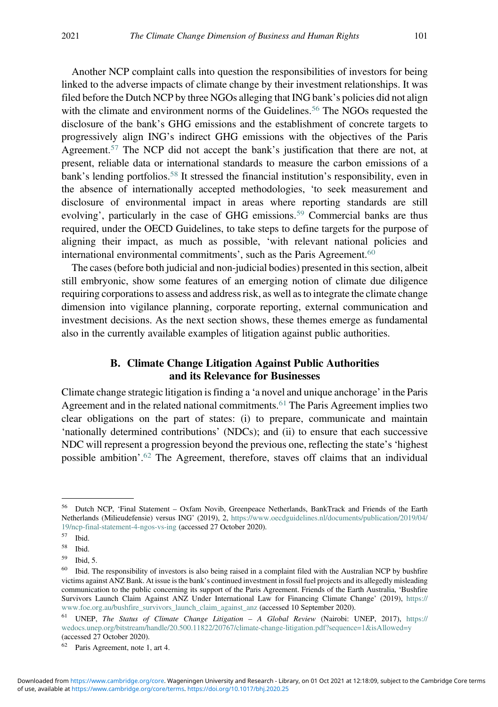Another NCP complaint calls into question the responsibilities of investors for being linked to the adverse impacts of climate change by their investment relationships. It was filed before the Dutch NCP by three NGOs alleging that ING bank's policies did not align with the climate and environment norms of the Guidelines.<sup>56</sup> The NGOs requested the disclosure of the bank's GHG emissions and the establishment of concrete targets to progressively align ING's indirect GHG emissions with the objectives of the Paris Agreement.<sup>57</sup> The NCP did not accept the bank's justification that there are not, at present, reliable data or international standards to measure the carbon emissions of a bank's lending portfolios.<sup>58</sup> It stressed the financial institution's responsibility, even in the absence of internationally accepted methodologies, 'to seek measurement and disclosure of environmental impact in areas where reporting standards are still evolving', particularly in the case of GHG emissions.<sup>59</sup> Commercial banks are thus required, under the OECD Guidelines, to take steps to define targets for the purpose of aligning their impact, as much as possible, 'with relevant national policies and international environmental commitments', such as the Paris Agreement.<sup>60</sup>

The cases (before both judicial and non-judicial bodies) presented in this section, albeit still embryonic, show some features of an emerging notion of climate due diligence requiring corporations to assess and address risk, as well as to integrate the climate change dimension into vigilance planning, corporate reporting, external communication and investment decisions. As the next section shows, these themes emerge as fundamental also in the currently available examples of litigation against public authorities.

### B. Climate Change Litigation Against Public Authorities and its Relevance for Businesses

Climate change strategic litigation is finding a 'a novel and unique anchorage' in the Paris Agreement and in the related national commitments.<sup>61</sup> The Paris Agreement implies two clear obligations on the part of states: (i) to prepare, communicate and maintain 'nationally determined contributions' (NDCs); and (ii) to ensure that each successive NDC will represent a progression beyond the previous one, reflecting the state's 'highest possible ambition'. <sup>62</sup> The Agreement, therefore, staves off claims that an individual

<sup>56</sup> Dutch NCP, 'Final Statement – Oxfam Novib, Greenpeace Netherlands, BankTrack and Friends of the Earth Netherlands (Milieudefensie) versus ING' (2019), 2, [https://www.oecdguidelines.nl/documents/publication/2019/04/](https://www.oecdguidelines.nl/documents/publication/2019/04/19/ncp-final-statement-4-ngos-vs-ing) [19/ncp-final-statement-4-ngos-vs-ing](https://www.oecdguidelines.nl/documents/publication/2019/04/19/ncp-final-statement-4-ngos-vs-ing) (accessed 27 October 2020).

<sup>57</sup> Ibid.

<sup>58</sup> Ibid.

 $^{59}$  Ibid, 5.<br> $^{60}$  Ibid Tl

<sup>60</sup> Ibid. The responsibility of investors is also being raised in a complaint filed with the Australian NCP by bushfire victims against ANZ Bank. At issue is the bank's continued investment in fossil fuel projects and its allegedly misleading communication to the public concerning its support of the Paris Agreement. Friends of the Earth Australia, 'Bushfire Survivors Launch Claim Against ANZ Under International Law for Financing Climate Change' (2019), [https://](https://www.foe.org.au/bushfire_survivors_launch_claim_against_anz) [www.foe.org.au/bushfire\\_survivors\\_launch\\_claim\\_against\\_anz](https://www.foe.org.au/bushfire_survivors_launch_claim_against_anz) (accessed 10 September 2020).

<sup>61</sup> UNEP, The Status of Climate Change Litigation – A Global Review (Nairobi: UNEP, 2017), [https://](https://wedocs.unep.org/bitstream/handle/20.500.11822/20767/climate-change-litigation.pdf?sequence=1isAllowed=y) [wedocs.unep.org/bitstream/handle/20.500.11822/20767/climate-change-litigation.pdf?sequence=1&isAllowed=y](https://wedocs.unep.org/bitstream/handle/20.500.11822/20767/climate-change-litigation.pdf?sequence=1isAllowed=y) (accessed 27 October 2020).

<sup>62</sup> Paris Agreement, note 1, art 4.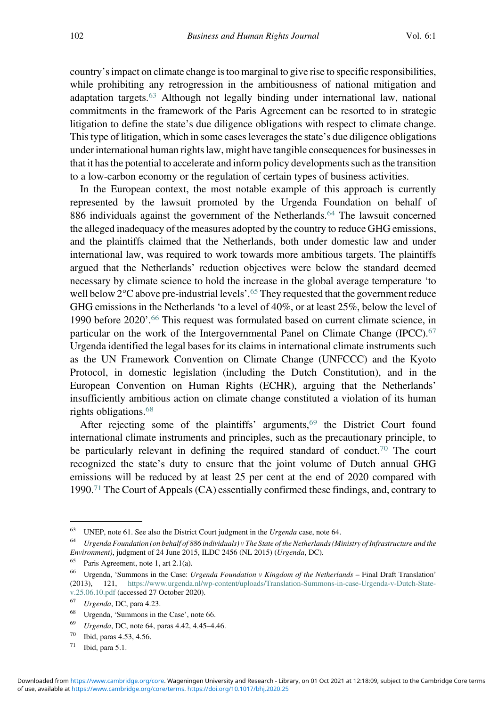country's impact on climate change is too marginal to give rise to specific responsibilities, while prohibiting any retrogression in the ambitiousness of national mitigation and adaptation targets.<sup>63</sup> Although not legally binding under international law, national commitments in the framework of the Paris Agreement can be resorted to in strategic litigation to define the state's due diligence obligations with respect to climate change. This type of litigation, which in some cases leverages the state's due diligence obligations under international human rights law, might have tangible consequences for businesses in that it has the potential to accelerate and inform policy developments such as the transition to a low-carbon economy or the regulation of certain types of business activities.

In the European context, the most notable example of this approach is currently represented by the lawsuit promoted by the Urgenda Foundation on behalf of 886 individuals against the government of the Netherlands.<sup>64</sup> The lawsuit concerned the alleged inadequacy of the measures adopted by the country to reduce GHG emissions, and the plaintiffs claimed that the Netherlands, both under domestic law and under international law, was required to work towards more ambitious targets. The plaintiffs argued that the Netherlands' reduction objectives were below the standard deemed necessary by climate science to hold the increase in the global average temperature 'to well below 2°C above pre-industrial levels'.<sup>65</sup> They requested that the government reduce GHG emissions in the Netherlands 'to a level of 40%, or at least 25%, below the level of 1990 before 2020'. <sup>66</sup> This request was formulated based on current climate science, in particular on the work of the Intergovernmental Panel on Climate Change (IPCC).<sup>67</sup> Urgenda identified the legal bases for its claims in international climate instruments such as the UN Framework Convention on Climate Change (UNFCCC) and the Kyoto Protocol, in domestic legislation (including the Dutch Constitution), and in the European Convention on Human Rights (ECHR), arguing that the Netherlands' insufficiently ambitious action on climate change constituted a violation of its human rights obligations.<sup>68</sup>

After rejecting some of the plaintiffs' arguments,<sup>69</sup> the District Court found international climate instruments and principles, such as the precautionary principle, to be particularly relevant in defining the required standard of conduct.<sup>70</sup> The court recognized the state's duty to ensure that the joint volume of Dutch annual GHG emissions will be reduced by at least 25 per cent at the end of 2020 compared with 1990.<sup>71</sup> The Court of Appeals (CA) essentially confirmed these findings, and, contrary to

<sup>&</sup>lt;sup>63</sup> UNEP, note 61. See also the District Court judgment in the *Urgenda* case, note 64.<br><sup>64</sup> Ultra and a France dation (and helf of 886 in dividenda) in The State of the Mathematic (M

Urgenda Foundation (on behalf of 886 individuals) v The State of the Netherlands (Ministry of Infrastructure and the Environment), judgment of 24 June 2015, ILDC 2456 (NL 2015) (Urgenda, DC).

<sup>65</sup> Paris Agreement, note 1, art 2.1(a).

<sup>&</sup>lt;sup>66</sup> Urgenda, 'Summons in the Case: Urgenda Foundation v Kingdom of the Netherlands – Final Draft Translation' (2013), 121, [https://www.urgenda.nl/wp-content/uploads/Translation-Summons-in-case-Urgenda-v-Dutch-State](https://www.urgenda.nl/wp-content/uploads/Translation-Summons-in-case-Urgenda-v-Dutch-State-v.25.06.10.pdf)[v.25.06.10.pdf](https://www.urgenda.nl/wp-content/uploads/Translation-Summons-in-case-Urgenda-v-Dutch-State-v.25.06.10.pdf) (accessed 27 October 2020).

 $67$  Urgenda, DC, para 4.23.

 $^{68}$  Urgenda, 'Summons in the Case', note 66.

 $^{69}$  Urgenda, DC, note 64, paras 4.42, 4.45–4.46.<br><sup>70</sup> Ibid, paras 4.53, 4.56

Ibid, paras 4.53, 4.56.

 $71$  Ibid, para 5.1.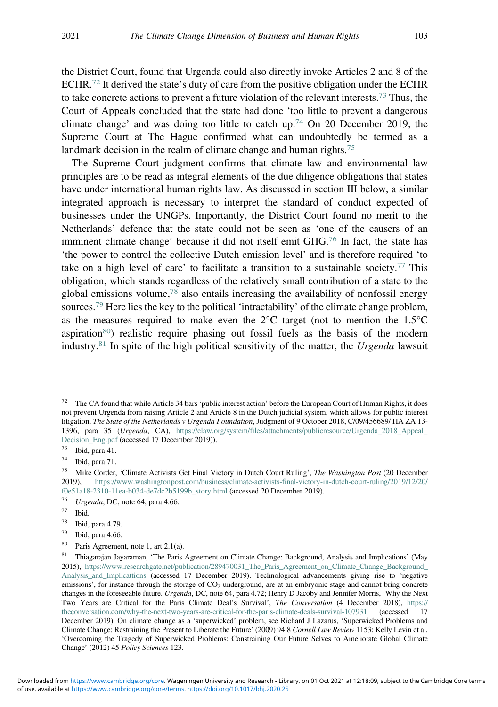the District Court, found that Urgenda could also directly invoke Articles 2 and 8 of the ECHR.<sup>72</sup> It derived the state's duty of care from the positive obligation under the ECHR to take concrete actions to prevent a future violation of the relevant interests.<sup>73</sup> Thus, the Court of Appeals concluded that the state had done 'too little to prevent a dangerous climate change' and was doing too little to catch up.<sup>74</sup> On 20 December 2019, the Supreme Court at The Hague confirmed what can undoubtedly be termed as a landmark decision in the realm of climate change and human rights.<sup>75</sup>

The Supreme Court judgment confirms that climate law and environmental law principles are to be read as integral elements of the due diligence obligations that states have under international human rights law. As discussed in section III below, a similar integrated approach is necessary to interpret the standard of conduct expected of businesses under the UNGPs. Importantly, the District Court found no merit to the Netherlands' defence that the state could not be seen as 'one of the causers of an imminent climate change' because it did not itself emit GHG.<sup>76</sup> In fact, the state has 'the power to control the collective Dutch emission level' and is therefore required 'to take on a high level of care' to facilitate a transition to a sustainable society.<sup>77</sup> This obligation, which stands regardless of the relatively small contribution of a state to the global emissions volume, $78$  also entails increasing the availability of nonfossil energy sources.<sup>79</sup> Here lies the key to the political 'intractability' of the climate change problem, as the measures required to make even the  $2^{\circ}C$  target (not to mention the 1.5 $^{\circ}C$ aspiration $80$ ) realistic require phasing out fossil fuels as the basis of the modern industry.<sup>81</sup> In spite of the high political sensitivity of the matter, the Urgenda lawsuit

 $72$  The CA found that while Article 34 bars 'public interest action' before the European Court of Human Rights, it does not prevent Urgenda from raising Article 2 and Article 8 in the Dutch judicial system, which allows for public interest litigation. The State of the Netherlands v Urgenda Foundation, Judgment of 9 October 2018, C/09/456689/ HA ZA 13- 1396, para 35 (Urgenda, CA), https://elaw.org/system/files/attachments/publicresource/Urgenda 2018 Appeal [Decision\\_Eng.pdf](https://elaw.org/system/files/attachments/publicresource/Urgenda_2018_Appeal_Decision_Eng.pdf) (accessed 17 December 2019)).<br><sup>73</sup> Lid nam 41

 $^{73}$  Ibid, para 41.

 $^{74}$  Ibid, para 71.

<sup>75</sup> Mike Corder, 'Climate Activists Get Final Victory in Dutch Court Ruling', The Washington Post (20 December 2019), [https://www.washingtonpost.com/business/climate-activists-final-victory-in-dutch-court-ruling/2019/12/20/](https://www.washingtonpost.com/business/climate-activists-final-victory-in-dutch-court-ruling/2019/12/20/f0e51a18-2310-11ea-b034-de7dc2b5199b_story.html) [f0e51a18-2310-11ea-b034-de7dc2b5199b\\_story.html](https://www.washingtonpost.com/business/climate-activists-final-victory-in-dutch-court-ruling/2019/12/20/f0e51a18-2310-11ea-b034-de7dc2b5199b_story.html) (accessed 20 December 2019).<br> $^{76}$  Henanda DC note 64 para 4.66

Urgenda, DC, note 64, para 4.66.

 $\frac{77}{78}$  Ibid.

 $^{78}$  Ibid, para 4.79.<br> $^{79}$  Ibid, para 4.66

Ibid, para 4.66.

<sup>80</sup> Paris Agreement, note 1, art 2.1(a).

<sup>81</sup> Thiagarajan Jayaraman, 'The Paris Agreement on Climate Change: Background, Analysis and Implications' (May 2015), [https://www.researchgate.net/publication/289470031\\_The\\_Paris\\_Agreement\\_on\\_Climate\\_Change\\_Background\\_](https://www.researchgate.net/publication/289470031_The_Paris_Agreement_on_Climate_Change_Background_Analysis_and_Implicattions) Analysis and Implicattions (accessed 17 December 2019). Technological advancements giving rise to 'negative emissions', for instance through the storage of  $CO<sub>2</sub>$  underground, are at an embryonic stage and cannot bring concrete changes in the foreseeable future. Urgenda, DC, note 64, para 4.72; Henry D Jacoby and Jennifer Morris, 'Why the Next Two Years are Critical for the Paris Climate Deal's Survival', The Conversation (4 December 2018), [https://](https://theconversation.com/why-the-next-two-years-are-critical-for-the-paris-climate-deals-survival-107931)<br>theconversation.com/why-the-next-two-vears-are-critical-for-the-naris-climate-deals-survival-107931 (accessed [theconversation.com/why-the-next-two-years-are-critical-for-the-paris-climate-deals-survival-107931](https://theconversation.com/why-the-next-two-years-are-critical-for-the-paris-climate-deals-survival-107931) (accessed December 2019). On climate change as a 'superwicked' problem, see Richard J Lazarus, 'Superwicked Problems and Climate Change: Restraining the Present to Liberate the Future' (2009) 94:8 Cornell Law Review 1153; Kelly Levin et al, 'Overcoming the Tragedy of Superwicked Problems: Constraining Our Future Selves to Ameliorate Global Climate Change' (2012) 45 Policy Sciences 123.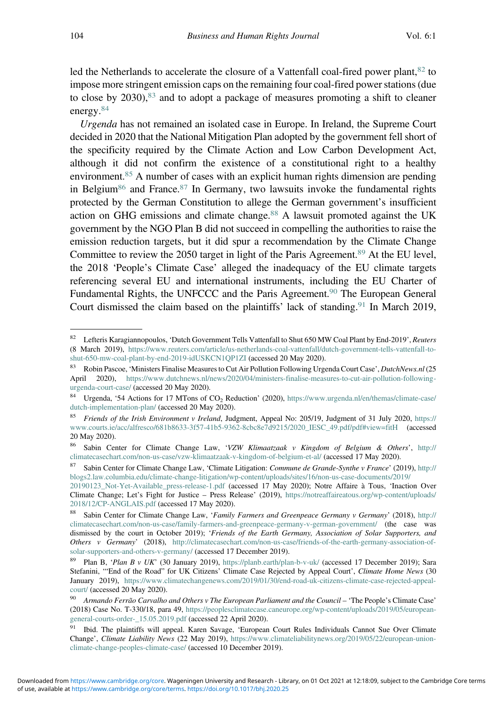led the Netherlands to accelerate the closure of a Vattenfall coal-fired power plant,  $82$  to impose more stringent emission caps on the remaining four coal-fired power stations (due to close by 2030),<sup>83</sup> and to adopt a package of measures promoting a shift to cleaner energy.<sup>84</sup>

Urgenda has not remained an isolated case in Europe. In Ireland, the Supreme Court decided in 2020 that the National Mitigation Plan adopted by the government fell short of the specificity required by the Climate Action and Low Carbon Development Act, although it did not confirm the existence of a constitutional right to a healthy environment.<sup>85</sup> A number of cases with an explicit human rights dimension are pending in Belgium<sup>86</sup> and France.<sup>87</sup> In Germany, two lawsuits invoke the fundamental rights protected by the German Constitution to allege the German government's insufficient action on GHG emissions and climate change.<sup>88</sup> A lawsuit promoted against the UK government by the NGO Plan B did not succeed in compelling the authorities to raise the emission reduction targets, but it did spur a recommendation by the Climate Change Committee to review the 2050 target in light of the Paris Agreement.<sup>89</sup> At the EU level, the 2018 'People's Climate Case' alleged the inadequacy of the EU climate targets referencing several EU and international instruments, including the EU Charter of Fundamental Rights, the UNFCCC and the Paris Agreement.90 The European General Court dismissed the claim based on the plaintiffs' lack of standing.<sup>91</sup> In March 2019,

<sup>&</sup>lt;sup>82</sup> Lefteris Karagiannopoulos, 'Dutch Government Tells Vattenfall to Shut 650 MW Coal Plant by End-2019', Reuters (8 March 2019), [https://www.reuters.com/article/us-netherlands-coal-vattenfall/dutch-government-tells-vattenfall-to](https://www.reuters.com/article/us-netherlands-coal-vattenfall/dutch-government-tells-vattenfall-to-shut-650-mw-coal-plant-by-end-2019-idUSKCN1QP1ZI)[shut-650-mw-coal-plant-by-end-2019-idUSKCN1QP1ZI](https://www.reuters.com/article/us-netherlands-coal-vattenfall/dutch-government-tells-vattenfall-to-shut-650-mw-coal-plant-by-end-2019-idUSKCN1QP1ZI) (accessed 20 May 2020).

<sup>83</sup> Robin Pascoe, 'Ministers Finalise Measures to Cut Air Pollution Following Urgenda Court Case', DutchNews.nl (25 April 2020), [https://www.dutchnews.nl/news/2020/04/ministers-finalise-measures-to-cut-air-pollution-following](https://www.dutchnews.nl/news/2020/04/ministers-finalise-measures-to-cut-air-pollution-following-urgenda-court-case/)[urgenda-court-case/](https://www.dutchnews.nl/news/2020/04/ministers-finalise-measures-to-cut-air-pollution-following-urgenda-court-case/) (accessed 20 May 2020).

<sup>84</sup> Urgenda, '54 Actions for 17 MTons of CO<sub>2</sub> Reduction' (2020), [https://www.urgenda.nl/en/themas/climate-case/](https://www.urgenda.nl/en/themas/climate-case/dutch-implementation-plan/) [dutch-implementation-plan/](https://www.urgenda.nl/en/themas/climate-case/dutch-implementation-plan/) (accessed 20 May 2020).

<sup>85</sup> Friends of the Irish Environment v Ireland, Judgment, Appeal No: 205/19, Judgment of 31 July 2020, [https://](https://www.courts.ie/acc/alfresco/681b8633-3f57-41b5-9362-8cbc8e7d9215/2020_IESC_49.pdf/pdf#view=fitH) [www.courts.ie/acc/alfresco/681b8633-3f57-41b5-9362-8cbc8e7d9215/2020\\_IESC\\_49.pdf/pdf#view=fitH](https://www.courts.ie/acc/alfresco/681b8633-3f57-41b5-9362-8cbc8e7d9215/2020_IESC_49.pdf/pdf#view=fitH) (accessed 20 May 2020).<br><sup>86</sup> Sahin Car

Sabin Center for Climate Change Law, 'VZW Klimaatzaak v Kingdom of Belgium & Others', [http://](http://climatecasechart.com/non-us-case/vzw-klimaatzaak-v-kingdom-of-belgium-et-al/) [climatecasechart.com/non-us-case/vzw-klimaatzaak-v-kingdom-of-belgium-et-al/](http://climatecasechart.com/non-us-case/vzw-klimaatzaak-v-kingdom-of-belgium-et-al/) (accessed 17 May 2020).

<sup>&</sup>lt;sup>87</sup> Sabin Center for Climate Change Law, 'Climate Litigation: *Commune de Grande-Synthe v France'* (2019), [http://](http://blogs2.law.columbia.edu/climate-change-litigation/wp-content/uploads/sites/16/non-us-case-documents/2019/20190123_Not-Yet-Available_press-release-1.pdf) [blogs2.law.columbia.edu/climate-change-litigation/wp-content/uploads/sites/16/non-us-case-documents/2019/](http://blogs2.law.columbia.edu/climate-change-litigation/wp-content/uploads/sites/16/non-us-case-documents/2019/20190123_Not-Yet-Available_press-release-1.pdf)

[<sup>20190123</sup>\\_Not-Yet-Available\\_press-release-1.pdf](http://blogs2.law.columbia.edu/climate-change-litigation/wp-content/uploads/sites/16/non-us-case-documents/2019/20190123_Not-Yet-Available_press-release-1.pdf) (accessed 17 May 2020); Notre Affaire à Tous, 'Inaction Over Climate Change; Let's Fight for Justice – Press Release' (2019), [https://notreaffaireatous.org/wp-content/uploads/](https://notreaffaireatous.org/wp-content/uploads/2018/12/CP-ANGLAIS.pdf) [2018/12/CP-ANGLAIS.pdf](https://notreaffaireatous.org/wp-content/uploads/2018/12/CP-ANGLAIS.pdf) (accessed 17 May 2020).

<sup>88</sup> Sabin Center for Climate Change Law, 'Family Farmers and Greenpeace Germany v Germany' (2018), [http://](http://climatecasechart.com/non-us-case/family-farmers-and-greenpeace-germany-v-german-government/) [climatecasechart.com/non-us-case/family-farmers-and-greenpeace-germany-v-german-government/](http://climatecasechart.com/non-us-case/family-farmers-and-greenpeace-germany-v-german-government/) (the case was dismissed by the court in October 2019); 'Friends of the Earth Germany, Association of Solar Supporters, and Others v Germany' (2018), [http://climatecasechart.com/non-us-case/friends-of-the-earth-germany-association-of](http://climatecasechart.com/non-us-case/friends-of-the-earth-germany-association-of-solar-supporters-and-others-v-germany/)[solar-supporters-and-others-v-germany/](http://climatecasechart.com/non-us-case/friends-of-the-earth-germany-association-of-solar-supporters-and-others-v-germany/) (accessed 17 December 2019).

<sup>&</sup>lt;sup>89</sup> Plan B, '*Plan B v UK*' (30 January 2019), <https://planb.earth/plan-b-v-uk/> (accessed 17 December 2019); Sara Stefanini, "End of the Road" for UK Citizens' Climate Case Rejected by Appeal Court', Climate Home News (30 January 2019), [https://www.climatechangenews.com/2019/01/30/end-road-uk-citizens-climate-case-rejected-appeal](https://www.climatechangenews.com/2019/01/30/end-road-uk-citizens-climate-case-rejected-appeal-court/)[court/](https://www.climatechangenews.com/2019/01/30/end-road-uk-citizens-climate-case-rejected-appeal-court/) (accessed 20 May 2020).

<sup>&</sup>lt;sup>90</sup> Armando Ferrão Carvalho and Others v The European Parliament and the Council – 'The People's Climate Case' (2018) Case No. T-330/18, para 49, [https://peoplesclimatecase.caneurope.org/wp-content/uploads/2019/05/european](https://peoplesclimatecase.caneurope.org/wp-content/uploads/2019/05/european-general-courts-order-_15.05.2019.pdf)[general-courts-order-\\_15.05.2019.pdf](https://peoplesclimatecase.caneurope.org/wp-content/uploads/2019/05/european-general-courts-order-_15.05.2019.pdf) (accessed 22 April 2020).

<sup>&</sup>lt;sup>91</sup> Ibid. The plaintiffs will appeal. Karen Savage, 'European Court Rules Individuals Cannot Sue Over Climate Change', Climate Liability News (22 May 2019), [https://www.climateliabilitynews.org/2019/05/22/european-union](https://www.climateliabilitynews.org/2019/05/22/european-union-climate-change-peoples-climate-case/)[climate-change-peoples-climate-case/](https://www.climateliabilitynews.org/2019/05/22/european-union-climate-change-peoples-climate-case/) (accessed 10 December 2019).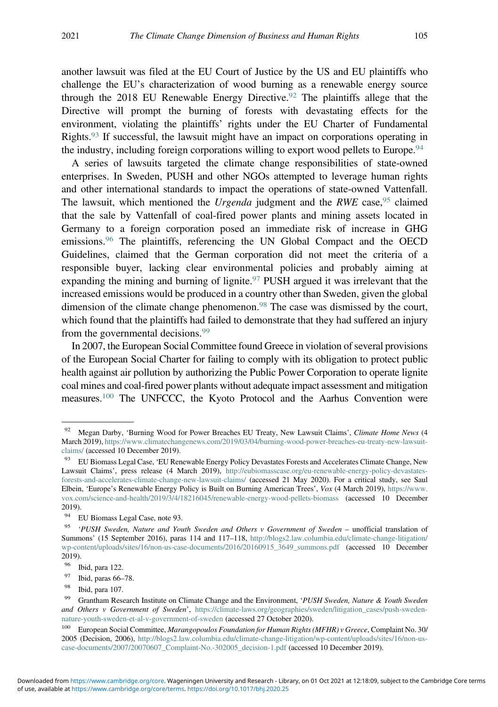another lawsuit was filed at the EU Court of Justice by the US and EU plaintiffs who challenge the EU's characterization of wood burning as a renewable energy source through the 2018 EU Renewable Energy Directive.<sup>92</sup> The plaintiffs allege that the Directive will prompt the burning of forests with devastating effects for the environment, violating the plaintiffs' rights under the EU Charter of Fundamental Rights.93 If successful, the lawsuit might have an impact on corporations operating in the industry, including foreign corporations willing to export wood pellets to Europe.<sup>94</sup>

A series of lawsuits targeted the climate change responsibilities of state-owned enterprises. In Sweden, PUSH and other NGOs attempted to leverage human rights and other international standards to impact the operations of state-owned Vattenfall. The lawsuit, which mentioned the Urgenda judgment and the RWE case, <sup>95</sup> claimed that the sale by Vattenfall of coal-fired power plants and mining assets located in Germany to a foreign corporation posed an immediate risk of increase in GHG emissions.<sup>96</sup> The plaintiffs, referencing the UN Global Compact and the OECD Guidelines, claimed that the German corporation did not meet the criteria of a responsible buyer, lacking clear environmental policies and probably aiming at expanding the mining and burning of lignite.  $97$  PUSH argued it was irrelevant that the increased emissions would be produced in a country other than Sweden, given the global dimension of the climate change phenomenon.98 The case was dismissed by the court, which found that the plaintiffs had failed to demonstrate that they had suffered an injury from the governmental decisions.<sup>99</sup>

In 2007, the European Social Committee found Greece in violation of several provisions of the European Social Charter for failing to comply with its obligation to protect public health against air pollution by authorizing the Public Power Corporation to operate lignite coal mines and coal-fired power plants without adequate impact assessment and mitigation measures.100 The UNFCCC, the Kyoto Protocol and the Aarhus Convention were

<sup>&</sup>lt;sup>92</sup> Megan Darby, 'Burning Wood for Power Breaches EU Treaty, New Lawsuit Claims', *Climate Home News* (4 March 2019), [https://www.climatechangenews.com/2019/03/04/burning-wood-power-breaches-eu-treaty-new-lawsuit](https://www.climatechangenews.com/2019/03/04/burning-wood-power-breaches-eu-treaty-new-lawsuit-claims/)[claims/](https://www.climatechangenews.com/2019/03/04/burning-wood-power-breaches-eu-treaty-new-lawsuit-claims/) (accessed 10 December 2019).

<sup>&</sup>lt;sup>93</sup> EU Biomass Legal Case, 'EU Renewable Energy Policy Devastates Forests and Accelerates Climate Change, New Lawsuit Claims', press release (4 March 2019), [http://eubiomasscase.org/eu-renewable-energy-policy-devastates](http://eubiomasscase.org/eu-renewable-energy-policy-devastates-forests-and-accelerates-climate-change-new-lawsuit-claims/)[forests-and-accelerates-climate-change-new-lawsuit-claims/](http://eubiomasscase.org/eu-renewable-energy-policy-devastates-forests-and-accelerates-climate-change-new-lawsuit-claims/) (accessed 21 May 2020). For a critical study, see Saul Elbein, 'Europe's Renewable Energy Policy is Built on Burning American Trees', Vox (4 March 2019), [https://www.](https://www.vox.com/science-and-health/2019/3/4/18216045/renewable-energy-wood-pellets-biomass) [vox.com/science-and-health/2019/3/4/18216045/renewable-energy-wood-pellets-biomass](https://www.vox.com/science-and-health/2019/3/4/18216045/renewable-energy-wood-pellets-biomass) (accessed 10 December  $2019$ ).<br> $94$  E

<sup>94</sup> EU Biomass Legal Case, note 93.

<sup>&</sup>lt;sup>95</sup> 'PUSH Sweden, Nature and Youth Sweden and Others v Government of Sweden – unofficial translation of Summons' (15 September 2016), paras 114 and 117–118, [http://blogs2.law.columbia.edu/climate-change-litigation/](http://blogs2.law.columbia.edu/climate-change-litigation/wp-content/uploads/sites/16/non-us-case-documents/2016/20160915_3649_summons.pdf) [wp-content/uploads/sites/16/non-us-case-documents/2016/20160915\\_3649\\_summons.pdf](http://blogs2.law.columbia.edu/climate-change-litigation/wp-content/uploads/sites/16/non-us-case-documents/2016/20160915_3649_summons.pdf) (accessed 10 December 2019).

<sup>96</sup> Ibid, para 122.

<sup>97</sup> Ibid, paras 66–78.

<sup>98</sup> Ibid, para 107.

<sup>&</sup>lt;sup>99</sup> Grantham Research Institute on Climate Change and the Environment, 'PUSH Sweden, Nature & Youth Sweden and Others v Government of Sweden', [https://climate-laws.org/geographies/sweden/litigation\\_cases/push-sweden](https://climate-laws.org/geographies/sweden/litigation_cases/push-sweden-nature-youth-sweden-et-al-v-government-of-sweden)[nature-youth-sweden-et-al-v-government-of-sweden](https://climate-laws.org/geographies/sweden/litigation_cases/push-sweden-nature-youth-sweden-et-al-v-government-of-sweden) (accessed 27 October 2020).

<sup>&</sup>lt;sup>100</sup> European Social Committee, *Marangopoulos Foundation for Human Rights (MFHR) v Greece*, Complaint No. 30/ 2005 (Decision, 2006), [http://blogs2.law.columbia.edu/climate-change-litigation/wp-content/uploads/sites/16/non-us](http://blogs2.law.columbia.edu/climate-change-litigation/wp-content/uploads/sites/16/non-us-case-documents/2007/20070607_Complaint-No.-302005_decision-1.pdf)[case-documents/2007/20070607\\_Complaint-No.-302005\\_decision-1.pdf](http://blogs2.law.columbia.edu/climate-change-litigation/wp-content/uploads/sites/16/non-us-case-documents/2007/20070607_Complaint-No.-302005_decision-1.pdf) (accessed 10 December 2019).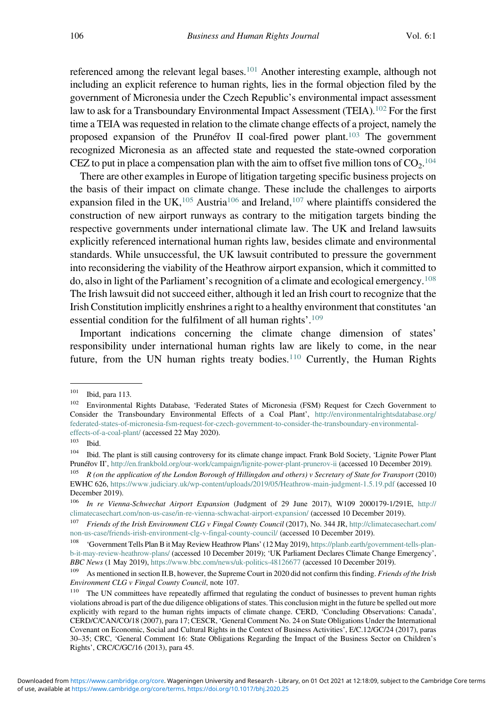referenced among the relevant legal bases.101 Another interesting example, although not including an explicit reference to human rights, lies in the formal objection filed by the government of Micronesia under the Czech Republic's environmental impact assessment law to ask for a Transboundary Environmental Impact Assessment (TEIA).<sup>102</sup> For the first time a TEIA was requested in relation to the climate change effects of a project, namely the proposed expansion of the Prunéřov II coal-fired power plant.<sup>103</sup> The government recognized Micronesia as an affected state and requested the state-owned corporation CEZ to put in place a compensation plan with the aim to offset five million tons of  $CO_2$ .<sup>104</sup>

There are other examples in Europe of litigation targeting specific business projects on the basis of their impact on climate change. These include the challenges to airports expansion filed in the UK,  $105$  Austria<sup>106</sup> and Ireland,  $107$  where plaintiffs considered the construction of new airport runways as contrary to the mitigation targets binding the respective governments under international climate law. The UK and Ireland lawsuits explicitly referenced international human rights law, besides climate and environmental standards. While unsuccessful, the UK lawsuit contributed to pressure the government into reconsidering the viability of the Heathrow airport expansion, which it committed to do, also in light of the Parliament's recognition of a climate and ecological emergency.<sup>108</sup> The Irish lawsuit did not succeed either, although it led an Irish court to recognize that the Irish Constitution implicitly enshrines a right to a healthy environment that constitutes'an essential condition for the fulfilment of all human rights'. 109

Important indications concerning the climate change dimension of states' responsibility under international human rights law are likely to come, in the near future, from the UN human rights treaty bodies.<sup>110</sup> Currently, the Human Rights

 $\frac{101}{102}$  Ibid, para 113.

<sup>102</sup> Environmental Rights Database, 'Federated States of Micronesia (FSM) Request for Czech Government to Consider the Transboundary Environmental Effects of a Coal Plant', [http://environmentalrightsdatabase.org/](http://environmentalrightsdatabase.org/federated-states-of-micronesia-fsm-request-for-czech-government-to-consider-the-transboundary-environmental-effects-of-a-coal-plant/) [federated-states-of-micronesia-fsm-request-for-czech-government-to-consider-the-transboundary-environmental](http://environmentalrightsdatabase.org/federated-states-of-micronesia-fsm-request-for-czech-government-to-consider-the-transboundary-environmental-effects-of-a-coal-plant/)[effects-of-a-coal-plant/](http://environmentalrightsdatabase.org/federated-states-of-micronesia-fsm-request-for-czech-government-to-consider-the-transboundary-environmental-effects-of-a-coal-plant/) (accessed 22 May 2020).

 $\frac{103}{104}$  Ibid.

<sup>104</sup> Ibid. The plant is still causing controversy for its climate change impact. Frank Bold Society, 'Lignite Power Plant Prunéřov II', <http://en.frankbold.org/our-work/campaign/lignite-power-plant-prunerov-ii> (accessed 10 December 2019).

<sup>&</sup>lt;sup>105</sup> R (on the application of the London Borough of Hillingdon and others) v Secretary of State for Transport (2010) EWHC 626, <https://www.judiciary.uk/wp-content/uploads/2019/05/Heathrow-main-judgment-1.5.19.pdf> (accessed 10 December 2019).

<sup>106</sup> In re Vienna-Schwechat Airport Expansion (Judgment of 29 June 2017), W109 2000179-1/291E, [http://](http://climatecasechart.com/non-us-case/in-re-vienna-schwachat-airport-expansion/) [climatecasechart.com/non-us-case/in-re-vienna-schwachat-airport-expansion/](http://climatecasechart.com/non-us-case/in-re-vienna-schwachat-airport-expansion/) (accessed 10 December 2019).

Friends of the Irish Environment CLG v Fingal County Council (2017), No. 344 JR, [http://climatecasechart.com/](http://climatecasechart.com/non-us-case/friends-irish-environment-clg-v-fingal-county-council/) [non-us-case/friends-irish-environment-clg-v-fingal-county-council/](http://climatecasechart.com/non-us-case/friends-irish-environment-clg-v-fingal-county-council/) (accessed 10 December 2019).

<sup>108</sup> 'Government Tells Plan B it May Review Heathrow Plans' (12 May 2019), [https://planb.earth/government-tells-plan](https://planb.earth/government-tells-plan-b-it-may-review-heathrow-plans/)[b-it-may-review-heathrow-plans/](https://planb.earth/government-tells-plan-b-it-may-review-heathrow-plans/) (accessed 10 December 2019); 'UK Parliament Declares Climate Change Emergency', BBC News (1 May 2019), <https://www.bbc.com/news/uk-politics-48126677> (accessed 10 December 2019).

As mentioned in section II.B, however, the Supreme Court in 2020 did not confirm this finding. *Friends of the Irish* Environment CLG v Fingal County Council, note 107.

<sup>&</sup>lt;sup>110</sup> The UN committees have repeatedly affirmed that regulating the conduct of businesses to prevent human rights violations abroad is part of the due diligence obligations of states. This conclusion might in the future be spelled out more explicitly with regard to the human rights impacts of climate change. CERD, 'Concluding Observations: Canada', CERD/C/CAN/CO/18 (2007), para 17; CESCR, 'General Comment No. 24 on State Obligations Under the International Covenant on Economic, Social and Cultural Rights in the Context of Business Activities', E/C.12/GC/24 (2017), paras 30–35; CRC, 'General Comment 16: State Obligations Regarding the Impact of the Business Sector on Children's Rights', CRC/C/GC/16 (2013), para 45.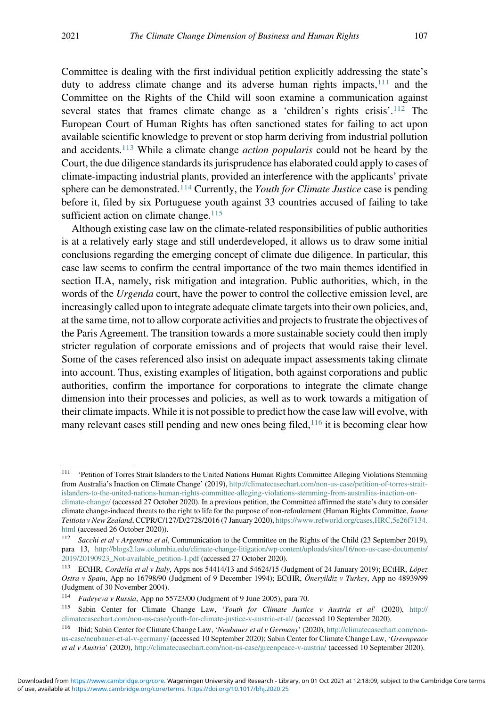Committee is dealing with the first individual petition explicitly addressing the state's duty to address climate change and its adverse human rights impacts,  $111$  and the Committee on the Rights of the Child will soon examine a communication against several states that frames climate change as a 'children's rights crisis'.<sup>112</sup> The European Court of Human Rights has often sanctioned states for failing to act upon available scientific knowledge to prevent or stop harm deriving from industrial pollution and accidents.<sup>113</sup> While a climate change *action popularis* could not be heard by the Court, the due diligence standards its jurisprudence has elaborated could apply to cases of climate-impacting industrial plants, provided an interference with the applicants' private sphere can be demonstrated.<sup>114</sup> Currently, the *Youth for Climate Justice* case is pending before it, filed by six Portuguese youth against 33 countries accused of failing to take sufficient action on climate change. $115$ 

Although existing case law on the climate-related responsibilities of public authorities is at a relatively early stage and still underdeveloped, it allows us to draw some initial conclusions regarding the emerging concept of climate due diligence. In particular, this case law seems to confirm the central importance of the two main themes identified in section II.A, namely, risk mitigation and integration. Public authorities, which, in the words of the *Urgenda* court, have the power to control the collective emission level, are increasingly called upon to integrate adequate climate targets into their own policies, and, at the same time, not to allow corporate activities and projects to frustrate the objectives of the Paris Agreement. The transition towards a more sustainable society could then imply stricter regulation of corporate emissions and of projects that would raise their level. Some of the cases referenced also insist on adequate impact assessments taking climate into account. Thus, existing examples of litigation, both against corporations and public authorities, confirm the importance for corporations to integrate the climate change dimension into their processes and policies, as well as to work towards a mitigation of their climate impacts. While it is not possible to predict how the case law will evolve, with many relevant cases still pending and new ones being filed,<sup>116</sup> it is becoming clear how

<sup>&</sup>lt;sup>111</sup> 'Petition of Torres Strait Islanders to the United Nations Human Rights Committee Alleging Violations Stemming from Australia's Inaction on Climate Change' (2019), [http://climatecasechart.com/non-us-case/petition-of-torres-strait](http://climatecasechart.com/non-us-case/petition-of-torres-strait-islanders-to-the-united-nations-human-rights-committee-alleging-violations-stemming-from-australias-inaction-on-climate-change/)[islanders-to-the-united-nations-human-rights-committee-alleging-violations-stemming-from-australias-inaction-on](http://climatecasechart.com/non-us-case/petition-of-torres-strait-islanders-to-the-united-nations-human-rights-committee-alleging-violations-stemming-from-australias-inaction-on-climate-change/)[climate-change/](http://climatecasechart.com/non-us-case/petition-of-torres-strait-islanders-to-the-united-nations-human-rights-committee-alleging-violations-stemming-from-australias-inaction-on-climate-change/) (accessed 27 October 2020). In a previous petition, the Committee affirmed the state's duty to consider climate change-induced threats to the right to life for the purpose of non-refoulement (Human Rights Committee, Ioane

Teitiota v New Zealand, CCPR/C/127/D/2728/2016 (7 January 2020), [https://www.refworld.org/cases,HRC,5e26f7134.](https://www.refworld.org/cases,HRC,5e26f7134.html) [html](https://www.refworld.org/cases,HRC,5e26f7134.html) (accessed 26 October 2020)).

<sup>&</sup>lt;sup>112</sup> Sacchi et al v Argentina et al, Communication to the Committee on the Rights of the Child (23 September 2019), para 13, [http://blogs2.law.columbia.edu/climate-change-litigation/wp-content/uploads/sites/16/non-us-case-documents/](http://blogs2.law.columbia.edu/climate-change-litigation/wp-content/uploads/sites/16/non-us-case-documents/2019/20190923_Not-available_petition-1.pdf) [2019/20190923\\_Not-available\\_petition-1.pdf](http://blogs2.law.columbia.edu/climate-change-litigation/wp-content/uploads/sites/16/non-us-case-documents/2019/20190923_Not-available_petition-1.pdf) (accessed 27 October 2020).

<sup>&</sup>lt;sup>113</sup> ECtHR, Cordella et al v Italy, Apps nos 54414/13 and 54624/15 (Judgment of 24 January 2019); ECtHR, López Ostra v Spain, App no 16798/90 (Judgment of 9 December 1994); ECtHR, Öneryildiz v Turkey, App no 48939/99 (Judgment of 30 November 2004).

<sup>114</sup> Fadeyeva v Russia, App no 55723/00 (Judgment of 9 June 2005), para 70.

<sup>115</sup> Sabin Center for Climate Change Law, 'Youth for Climate Justice v Austria et al' (2020), [http://](http://climatecasechart.com/non-us-case/youth-for-climate-justice-v-austria-et-al/) [climatecasechart.com/non-us-case/youth-for-climate-justice-v-austria-et-al/](http://climatecasechart.com/non-us-case/youth-for-climate-justice-v-austria-et-al/) (accessed 10 September 2020).

<sup>116</sup> Ibid; Sabin Center for Climate Change Law, 'Neubauer et al v Germany' (2020), [http://climatecasechart.com/non](http://climatecasechart.com/non-us-case/neubauer-et-al-v-germany/)[us-case/neubauer-et-al-v-germany/](http://climatecasechart.com/non-us-case/neubauer-et-al-v-germany/) (accessed 10 September 2020); Sabin Center for Climate Change Law, 'Greenpeace et al v Austria' (2020), <http://climatecasechart.com/non-us-case/greenpeace-v-austria/> (accessed 10 September 2020).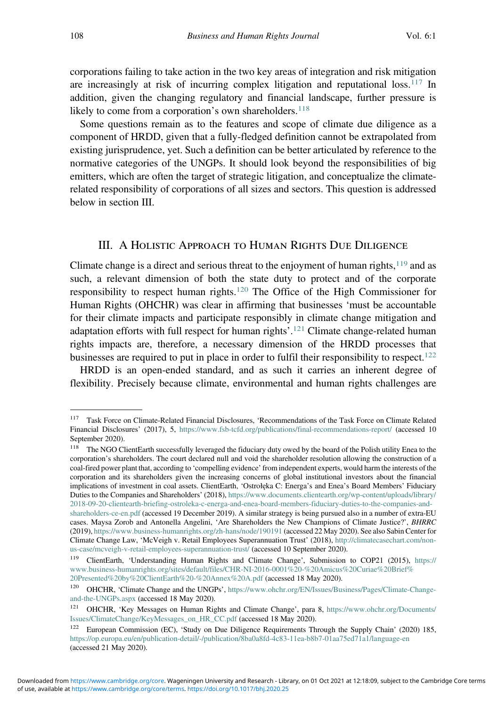corporations failing to take action in the two key areas of integration and risk mitigation are increasingly at risk of incurring complex litigation and reputational loss.<sup>117</sup> In addition, given the changing regulatory and financial landscape, further pressure is likely to come from a corporation's own shareholders.<sup>118</sup>

Some questions remain as to the features and scope of climate due diligence as a component of HRDD, given that a fully-fledged definition cannot be extrapolated from existing jurisprudence, yet. Such a definition can be better articulated by reference to the normative categories of the UNGPs. It should look beyond the responsibilities of big emitters, which are often the target of strategic litigation, and conceptualize the climaterelated responsibility of corporations of all sizes and sectors. This question is addressed below in section III.

### III. A HOLISTIC APPROACH TO HUMAN RIGHTS DUE DILIGENCE

Climate change is a direct and serious threat to the enjoyment of human rights, $119$  and as such, a relevant dimension of both the state duty to protect and of the corporate responsibility to respect human rights.<sup>120</sup> The Office of the High Commissioner for Human Rights (OHCHR) was clear in affirming that businesses 'must be accountable for their climate impacts and participate responsibly in climate change mitigation and adaptation efforts with full respect for human rights'.<sup>121</sup> Climate change-related human rights impacts are, therefore, a necessary dimension of the HRDD processes that businesses are required to put in place in order to fulfil their responsibility to respect.<sup>122</sup>

HRDD is an open-ended standard, and as such it carries an inherent degree of flexibility. Precisely because climate, environmental and human rights challenges are

<sup>117</sup> Task Force on Climate-Related Financial Disclosures, 'Recommendations of the Task Force on Climate Related Financial Disclosures' (2017), 5, <https://www.fsb-tcfd.org/publications/final-recommendations-report/> (accessed 10 September 2020).

<sup>&</sup>lt;sup>118</sup> The NGO ClientEarth successfully leveraged the fiduciary duty owed by the board of the Polish utility Enea to the corporation's shareholders. The court declared null and void the shareholder resolution allowing the construction of a coal-fired power plant that, according to 'compelling evidence' from independent experts, would harm the interests of the corporation and its shareholders given the increasing concerns of global institutional investors about the financial implications of investment in coal assets. ClientEarth, 'Ostrołęka C: Energa's and Enea's Board Members' Fiduciary Duties to the Companies and Shareholders' (2018), [https://www.documents.clientearth.org/wp-content/uploads/library/](https://www.documents.clientearth.org/wp-content/uploads/library/2018-09-20-clientearth-briefing-ostroleka-c-energa-and-enea-board-members-fiduciary-duties-to-the-companies-and-shareholders-ce-en.pdf) [2018-09-20-clientearth-briefing-ostroleka-c-energa-and-enea-board-members-fiduciary-duties-to-the-companies-and](https://www.documents.clientearth.org/wp-content/uploads/library/2018-09-20-clientearth-briefing-ostroleka-c-energa-and-enea-board-members-fiduciary-duties-to-the-companies-and-shareholders-ce-en.pdf)[shareholders-ce-en.pdf](https://www.documents.clientearth.org/wp-content/uploads/library/2018-09-20-clientearth-briefing-ostroleka-c-energa-and-enea-board-members-fiduciary-duties-to-the-companies-and-shareholders-ce-en.pdf) (accessed 19 December 2019). A similar strategy is being pursued also in a number of extra-EU cases. Maysa Zorob and Antonella Angelini, 'Are Shareholders the New Champions of Climate Justice?', BHRRC (2019), <https://www.business-humanrights.org/zh-hans/node/190191> (accessed 22 May 2020). See also Sabin Center for Climate Change Law, 'McVeigh v. Retail Employees Superannuation Trust' (2018), [http://climatecasechart.com/non](http://climatecasechart.com/non-us-case/mcveigh-v-retail-employees-superannuation-trust/)[us-case/mcveigh-v-retail-employees-superannuation-trust/](http://climatecasechart.com/non-us-case/mcveigh-v-retail-employees-superannuation-trust/) (accessed 10 September 2020).

<sup>119</sup> ClientEarth, 'Understanding Human Rights and Climate Change', Submission to COP21 (2015), [https://](https://www.business-humanrights.org/sites/default/files/CHR-NI-2016-0001%20-%20Amicus%20Curiae%20Brief%20Presented%20by%20ClientEarth%20-%20Annex%20A.pdf) [www.business-humanrights.org/sites/default/files/CHR-NI-2016-0001%20-%20Amicus%20Curiae%20Brief%](https://www.business-humanrights.org/sites/default/files/CHR-NI-2016-0001%20-%20Amicus%20Curiae%20Brief%20Presented%20by%20ClientEarth%20-%20Annex%20A.pdf) [20Presented%20by%20ClientEarth%20-%20Annex%20A.pdf](https://www.business-humanrights.org/sites/default/files/CHR-NI-2016-0001%20-%20Amicus%20Curiae%20Brief%20Presented%20by%20ClientEarth%20-%20Annex%20A.pdf) (accessed 18 May 2020).

<sup>120</sup> OHCHR, 'Climate Change and the UNGPs', [https://www.ohchr.org/EN/Issues/Business/Pages/Climate-Change](https://www.ohchr.org/EN/Issues/Business/Pages/Climate-Change-and-the-UNGPs.aspx)[and-the-UNGPs.aspx](https://www.ohchr.org/EN/Issues/Business/Pages/Climate-Change-and-the-UNGPs.aspx) (accessed 18 May 2020).

<sup>121</sup> OHCHR, 'Key Messages on Human Rights and Climate Change', para 8, [https://www.ohchr.org/Documents/](https://www.ohchr.org/Documents/Issues/ClimateChange/KeyMessages_on_HR_CC.pdf) [Issues/ClimateChange/KeyMessages\\_on\\_HR\\_CC.pdf](https://www.ohchr.org/Documents/Issues/ClimateChange/KeyMessages_on_HR_CC.pdf) (accessed 18 May 2020).

<sup>&</sup>lt;sup>122</sup> European Commission (EC), 'Study on Due Diligence Requirements Through the Supply Chain' (2020) 185, <https://op.europa.eu/en/publication-detail/-/publication/8ba0a8fd-4c83-11ea-b8b7-01aa75ed71a1/language-en> (accessed 21 May 2020).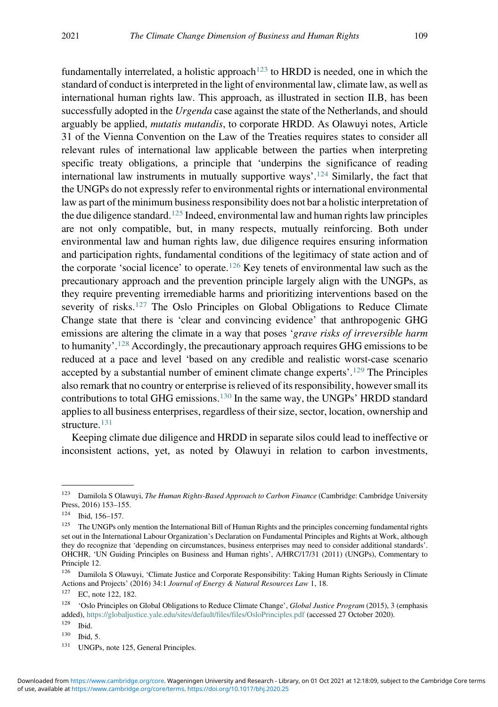fundamentally interrelated, a holistic approach<sup>123</sup> to HRDD is needed, one in which the standard of conduct is interpreted in the light of environmental law, climate law, as well as international human rights law. This approach, as illustrated in section II.B, has been successfully adopted in the *Urgenda* case against the state of the Netherlands, and should arguably be applied, mutatis mutandis, to corporate HRDD. As Olawuyi notes, Article 31 of the Vienna Convention on the Law of the Treaties requires states to consider all relevant rules of international law applicable between the parties when interpreting specific treaty obligations, a principle that 'underpins the significance of reading international law instruments in mutually supportive ways'. <sup>124</sup> Similarly, the fact that the UNGPs do not expressly refer to environmental rights or international environmental law as part of the minimum business responsibility does not bar a holistic interpretation of the due diligence standard.<sup>125</sup> Indeed, environmental law and human rights law principles are not only compatible, but, in many respects, mutually reinforcing. Both under environmental law and human rights law, due diligence requires ensuring information and participation rights, fundamental conditions of the legitimacy of state action and of the corporate 'social licence' to operate.<sup>126</sup> Key tenets of environmental law such as the precautionary approach and the prevention principle largely align with the UNGPs, as they require preventing irremediable harms and prioritizing interventions based on the severity of risks.<sup>127</sup> The Oslo Principles on Global Obligations to Reduce Climate Change state that there is 'clear and convincing evidence' that anthropogenic GHG emissions are altering the climate in a way that poses 'grave risks of irreversible harm to humanity'.<sup>128</sup> Accordingly, the precautionary approach requires GHG emissions to be reduced at a pace and level 'based on any credible and realistic worst-case scenario accepted by a substantial number of eminent climate change experts'.<sup>129</sup> The Principles also remark that no country or enterprise is relieved of its responsibility, however small its contributions to total GHG emissions.<sup>130</sup> In the same way, the UNGPs' HRDD standard applies to all business enterprises, regardless of their size, sector, location, ownership and structure.<sup>131</sup>

Keeping climate due diligence and HRDD in separate silos could lead to ineffective or inconsistent actions, yet, as noted by Olawuyi in relation to carbon investments,

Ibid, 5.

<sup>&</sup>lt;sup>123</sup> Damilola S Olawuyi, The Human Rights-Based Approach to Carbon Finance (Cambridge: Cambridge University Press, 2016) 153–155.

<sup>124</sup> Ibid, 156–157.

<sup>&</sup>lt;sup>125</sup> The UNGPs only mention the International Bill of Human Rights and the principles concerning fundamental rights set out in the International Labour Organization's Declaration on Fundamental Principles and Rights at Work, although they do recognize that 'depending on circumstances, business enterprises may need to consider additional standards'. OHCHR, 'UN Guiding Principles on Business and Human rights', A/HRC/17/31 (2011) (UNGPs), Commentary to Principle 12.

<sup>&</sup>lt;sup>126</sup> Damilola S Olawuyi, 'Climate Justice and Corporate Responsibility: Taking Human Rights Seriously in Climate Actions and Projects' (2016) 34:1 Journal of Energy & Natural Resources Law 1, 18.

<sup>127</sup> EC, note 122, 182.

<sup>&</sup>lt;sup>128</sup> 'Oslo Principles on Global Obligations to Reduce Climate Change', Global Justice Program (2015), 3 (emphasis added), <https://globaljustice.yale.edu/sites/default/files/files/OsloPrinciples.pdf> (accessed 27 October 2020).

 $\frac{129}{130}$  Ibid.

<sup>&</sup>lt;sup>131</sup> UNGPs, note 125, General Principles.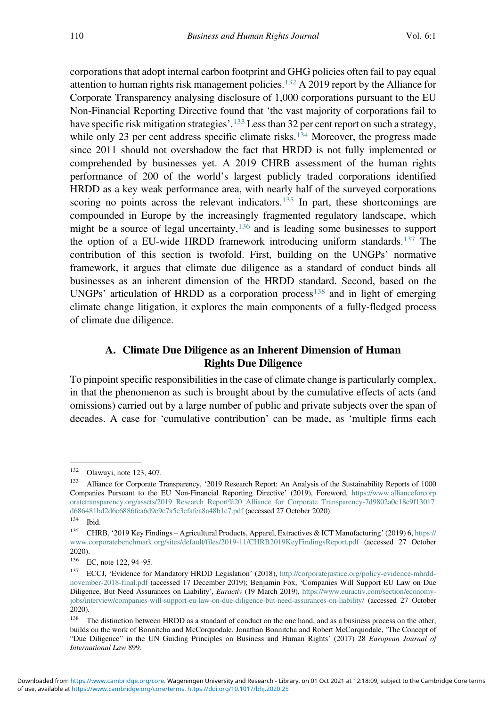corporations that adopt internal carbon footprint and GHG policies often fail to pay equal attention to human rights risk management policies.<sup>132</sup> A 2019 report by the Alliance for Corporate Transparency analysing disclosure of 1,000 corporations pursuant to the EU Non-Financial Reporting Directive found that 'the vast majority of corporations fail to have specific risk mitigation strategies'.<sup>133</sup> Less than 32 per cent report on such a strategy, while only 23 per cent address specific climate risks.<sup>134</sup> Moreover, the progress made since 2011 should not overshadow the fact that HRDD is not fully implemented or comprehended by businesses yet. A 2019 CHRB assessment of the human rights performance of 200 of the world's largest publicly traded corporations identified HRDD as a key weak performance area, with nearly half of the surveyed corporations scoring no points across the relevant indicators.<sup>135</sup> In part, these shortcomings are compounded in Europe by the increasingly fragmented regulatory landscape, which might be a source of legal uncertainty,  $136$  and is leading some businesses to support the option of a EU-wide HRDD framework introducing uniform standards.<sup>137</sup> The contribution of this section is twofold. First, building on the UNGPs' normative framework, it argues that climate due diligence as a standard of conduct binds all businesses as an inherent dimension of the HRDD standard. Second, based on the UNGPs' articulation of HRDD as a corporation process<sup>138</sup> and in light of emerging climate change litigation, it explores the main components of a fully-fledged process of climate due diligence.

## A. Climate Due Diligence as an Inherent Dimension of Human Rights Due Diligence

To pinpoint specific responsibilities in the case of climate change is particularly complex, in that the phenomenon as such is brought about by the cumulative effects of acts (and omissions) carried out by a large number of public and private subjects over the span of decades. A case for 'cumulative contribution' can be made, as 'multiple firms each

<sup>132</sup> Olawuyi, note 123, 407.

<sup>133</sup> Alliance for Corporate Transparency, '2019 Research Report: An Analysis of the Sustainability Reports of 1000 Companies Pursuant to the EU Non-Financial Reporting Directive' (2019), Foreword, [https://www.allianceforcorp](https://www.allianceforcorporatetransparency.org/assets/2019_Research_Report%20_Alliance_for_Corporate_Transparency-7d9802a0c18c9f13017d686481bd2d6c6886fea6d9e9c7a5c3cfafea8a48b1c7.pdf) [oratetransparency.org/assets/2019\\_Research\\_Report%20\\_Alliance\\_for\\_Corporate\\_Transparency-7d9802a0c18c9f13017](https://www.allianceforcorporatetransparency.org/assets/2019_Research_Report%20_Alliance_for_Corporate_Transparency-7d9802a0c18c9f13017d686481bd2d6c6886fea6d9e9c7a5c3cfafea8a48b1c7.pdf) [d686481bd2d6c6886fea6d9e9c7a5c3cfafea8a48b1c7.pdf](https://www.allianceforcorporatetransparency.org/assets/2019_Research_Report%20_Alliance_for_Corporate_Transparency-7d9802a0c18c9f13017d686481bd2d6c6886fea6d9e9c7a5c3cfafea8a48b1c7.pdf) (accessed 27 October 2020).

<sup>134</sup> Ibid.

<sup>135</sup> CHRB, '2019 Key Findings – Agricultural Products, Apparel, Extractives & ICT Manufacturing' (2019) 6, [https://](https://www.corporatebenchmark.org/sites/default/files/2019-11/CHRB2019KeyFindingsReport.pdf) [www.corporatebenchmark.org/sites/default/files/2019-11/CHRB2019KeyFindingsReport.pdf](https://www.corporatebenchmark.org/sites/default/files/2019-11/CHRB2019KeyFindingsReport.pdf) (accessed 27 October 2020).

 $^{136}$  EC, note 122, 94–95.

<sup>137</sup> ECCJ, 'Evidence for Mandatory HRDD Legislation' (2018), [http://corporatejustice.org/policy-evidence-mhrdd](http://corporatejustice.org/policy-evidence-mhrdd-november-2018-final.pdf)[november-2018-final.pdf](http://corporatejustice.org/policy-evidence-mhrdd-november-2018-final.pdf) (accessed 17 December 2019); Benjamin Fox, 'Companies Will Support EU Law on Due Diligence, But Need Assurances on Liability', *Euractiv* (19 March 2019), [https://www.euractiv.com/section/economy](https://www.euractiv.com/section/economy-jobs/interview/companies-will-support-eu-law-on-due-diligence-but-need-assurances-on-liability/)[jobs/interview/companies-will-support-eu-law-on-due-diligence-but-need-assurances-on-liability/](https://www.euractiv.com/section/economy-jobs/interview/companies-will-support-eu-law-on-due-diligence-but-need-assurances-on-liability/) (accessed 27 October 2020).

<sup>&</sup>lt;sup>138</sup> The distinction between HRDD as a standard of conduct on the one hand, and as a business process on the other, builds on the work of Bonnitcha and McCorquodale. Jonathan Bonnitcha and Robert McCorquodale, 'The Concept of "Due Diligence" in the UN Guiding Principles on Business and Human Rights' (2017) 28 European Journal of International Law 899.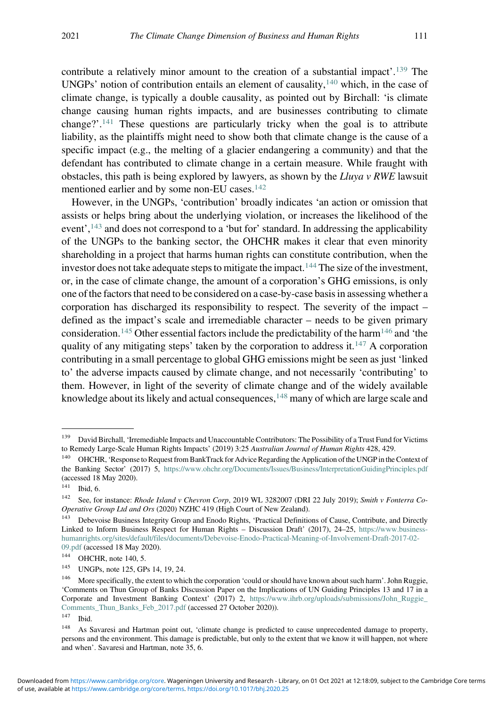contribute a relatively minor amount to the creation of a substantial impact'.<sup>139</sup> The UNGPs' notion of contribution entails an element of causality, $140$  which, in the case of climate change, is typically a double causality, as pointed out by Birchall: 'is climate change causing human rights impacts, and are businesses contributing to climate change?'. <sup>141</sup> These questions are particularly tricky when the goal is to attribute liability, as the plaintiffs might need to show both that climate change is the cause of a specific impact (e.g., the melting of a glacier endangering a community) and that the defendant has contributed to climate change in a certain measure. While fraught with obstacles, this path is being explored by lawyers, as shown by the Lluya v RWE lawsuit mentioned earlier and by some non-EU cases.142

However, in the UNGPs, 'contribution' broadly indicates 'an action or omission that assists or helps bring about the underlying violation, or increases the likelihood of the event',<sup>143</sup> and does not correspond to a 'but for' standard. In addressing the applicability of the UNGPs to the banking sector, the OHCHR makes it clear that even minority shareholding in a project that harms human rights can constitute contribution, when the investor does not take adequate steps to mitigate the impact.<sup>144</sup> The size of the investment, or, in the case of climate change, the amount of a corporation's GHG emissions, is only one of the factors that need to be considered on a case-by-case basis in assessing whether a corporation has discharged its responsibility to respect. The severity of the impact – defined as the impact's scale and irremediable character – needs to be given primary consideration.<sup>145</sup> Other essential factors include the predictability of the harm<sup>146</sup> and 'the quality of any mitigating steps' taken by the corporation to address it.<sup>147</sup> A corporation contributing in a small percentage to global GHG emissions might be seen as just 'linked to' the adverse impacts caused by climate change, and not necessarily 'contributing' to them. However, in light of the severity of climate change and of the widely available knowledge about its likely and actual consequences,  $148$  many of which are large scale and

<sup>&</sup>lt;sup>139</sup> David Birchall, 'Irremediable Impacts and Unaccountable Contributors: The Possibility of a Trust Fund for Victims to Remedy Large-Scale Human Rights Impacts' (2019) 3:25 Australian Journal of Human Rights 428, 429.

<sup>&</sup>lt;sup>140</sup> OHCHR, 'Response to Request from BankTrack for Advice Regarding the Application of the UNGP in the Context of the Banking Sector' (2017) 5, <https://www.ohchr.org/Documents/Issues/Business/InterpretationGuidingPrinciples.pdf> (accessed 18 May 2020).

 $141$  Ibid, 6.

<sup>142</sup> See, for instance: Rhode Island v Chevron Corp, 2019 WL 3282007 (DRI 22 July 2019); Smith v Fonterra Co-Operative Group Ltd and Ors (2020) NZHC 419 (High Court of New Zealand).

<sup>&</sup>lt;sup>143</sup> Debevoise Business Integrity Group and Enodo Rights, 'Practical Definitions of Cause, Contribute, and Directly Linked to Inform Business Respect for Human Rights – Discussion Draft' (2017), 24–25, [https://www.business](https://www.business-humanrights.org/sites/default/files/documents/Debevoise-Enodo-Practical-Meaning-of-Involvement-Draft-2017-02-09.pdf)[humanrights.org/sites/default/files/documents/Debevoise-Enodo-Practical-Meaning-of-Involvement-Draft-2017-02-](https://www.business-humanrights.org/sites/default/files/documents/Debevoise-Enodo-Practical-Meaning-of-Involvement-Draft-2017-02-09.pdf) [09.pdf](https://www.business-humanrights.org/sites/default/files/documents/Debevoise-Enodo-Practical-Meaning-of-Involvement-Draft-2017-02-09.pdf) (accessed 18 May 2020).

 $144$  OHCHR, note 140, 5.

<sup>145</sup> UNGPs, note 125, GPs 14, 19, 24.

<sup>146</sup> More specifically, the extent to which the corporation 'could or should have known about such harm'. John Ruggie, 'Comments on Thun Group of Banks Discussion Paper on the Implications of UN Guiding Principles 13 and 17 in a Corporate and Investment Banking Context' (2017) 2, [https://www.ihrb.org/uploads/submissions/John\\_Ruggie\\_](https://www.ihrb.org/uploads/submissions/John_Ruggie_Comments_Thun_Banks_Feb_2017.pdf) [Comments\\_Thun\\_Banks\\_Feb\\_2017.pdf](https://www.ihrb.org/uploads/submissions/John_Ruggie_Comments_Thun_Banks_Feb_2017.pdf) (accessed 27 October 2020)).

 $147$  Ibid.

<sup>&</sup>lt;sup>148</sup> As Savaresi and Hartman point out, 'climate change is predicted to cause unprecedented damage to property, persons and the environment. This damage is predictable, but only to the extent that we know it will happen, not where and when'. Savaresi and Hartman, note 35, 6.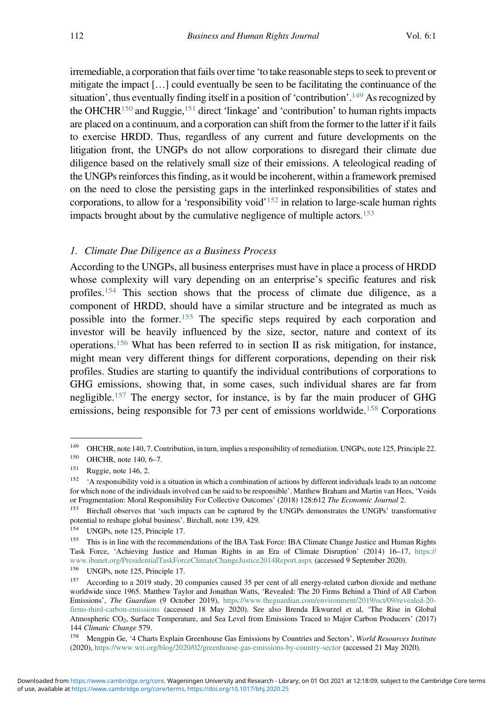irremediable, a corporation that fails over time 'to take reasonable steps to seek to prevent or mitigate the impact […] could eventually be seen to be facilitating the continuance of the situation', thus eventually finding itself in a position of 'contribution'. <sup>149</sup> As recognized by the OHCHR<sup>150</sup> and Ruggie,<sup>151</sup> direct 'linkage' and 'contribution' to human rights impacts are placed on a continuum, and a corporation can shift from the former to the latter if it fails to exercise HRDD. Thus, regardless of any current and future developments on the litigation front, the UNGPs do not allow corporations to disregard their climate due diligence based on the relatively small size of their emissions. A teleological reading of the UNGPs reinforces this finding, as it would be incoherent, within a framework premised on the need to close the persisting gaps in the interlinked responsibilities of states and corporations, to allow for a 'responsibility void'<sup>152</sup> in relation to large-scale human rights impacts brought about by the cumulative negligence of multiple actors.<sup>153</sup>

#### 1. Climate Due Diligence as a Business Process

According to the UNGPs, all business enterprises must have in place a process of HRDD whose complexity will vary depending on an enterprise's specific features and risk profiles.<sup>154</sup> This section shows that the process of climate due diligence, as a component of HRDD, should have a similar structure and be integrated as much as possible into the former.<sup>155</sup> The specific steps required by each corporation and investor will be heavily influenced by the size, sector, nature and context of its operations.<sup>156</sup> What has been referred to in section II as risk mitigation, for instance, might mean very different things for different corporations, depending on their risk profiles. Studies are starting to quantify the individual contributions of corporations to GHG emissions, showing that, in some cases, such individual shares are far from negligible.<sup>157</sup> The energy sector, for instance, is by far the main producer of GHG emissions, being responsible for 73 per cent of emissions worldwide.<sup>158</sup> Corporations

<sup>&</sup>lt;sup>149</sup> OHCHR, note 140, 7. Contribution, in turn, implies a responsibility of remediation. UNGPs, note 125, Principle 22.<br><sup>150</sup> OHCHR, note 140, 6, 7

<sup>&</sup>lt;sup>150</sup> OHCHR, note 140, 6–7.<br><sup>151</sup> Puggie note 146, 2

<sup>&</sup>lt;sup>151</sup> Ruggie, note 146, 2.<br><sup>152</sup> A responsibility voi:

<sup>152</sup> 'A responsibility void is a situation in which a combination of actions by different individuals leads to an outcome for which none of the individuals involved can be said to be responsible'. Matthew Braham and Martin van Hees, 'Voids or Fragmentation: Moral Responsibility For Collective Outcomes' (2018) 128:612 The Economic Journal 2.

<sup>153</sup> Birchall observes that 'such impacts can be captured by the UNGPs demonstrates the UNGPs' transformative potential to reshape global business'. Birchall, note 139, 429.

<sup>154</sup> UNGPs, note 125, Principle 17.

<sup>&</sup>lt;sup>155</sup> This is in line with the recommendations of the IBA Task Force: IBA Climate Change Justice and Human Rights Task Force, 'Achieving Justice and Human Rights in an Era of Climate Disruption' (2014) 16–17, [https://](https://www.ibanet.org/PresidentialTaskForceClimateChangeJustice2014Report.aspx) [www.ibanet.org/PresidentialTaskForceClimateChangeJustice2014Report.aspx](https://www.ibanet.org/PresidentialTaskForceClimateChangeJustice2014Report.aspx) (accessed 9 September 2020).<br><sup>156</sup> IINGP<sub>e</sub> note 125 Principle 17

<sup>&</sup>lt;sup>156</sup> UNGPs, note 125, Principle 17.<br><sup>157</sup> According to a 2010 study 20.

According to a 2019 study, 20 companies caused 35 per cent of all energy-related carbon dioxide and methane worldwide since 1965. Matthew Taylor and Jonathan Watts, 'Revealed: The 20 Firms Behind a Third of All Carbon Emissions', The Guardian (9 October 2019), [https://www.theguardian.com/environment/2019/oct/09/revealed-20](https://www.theguardian.com/environment/2019/oct/09/revealed-20-firms-third-carbon-emissions) [firms-third-carbon-emissions](https://www.theguardian.com/environment/2019/oct/09/revealed-20-firms-third-carbon-emissions) (accessed 18 May 2020). See also Brenda Ekwurzel et al, 'The Rise in Global Atmospheric CO2, Surface Temperature, and Sea Level from Emissions Traced to Major Carbon Producers' (2017) 144 Climatic Change 579.

<sup>&</sup>lt;sup>158</sup> Mengpin Ge, '4 Charts Explain Greenhouse Gas Emissions by Countries and Sectors', World Resources Institute (2020), <https://www.wri.org/blog/2020/02/greenhouse-gas-emissions-by-country-sector> (accessed 21 May 2020).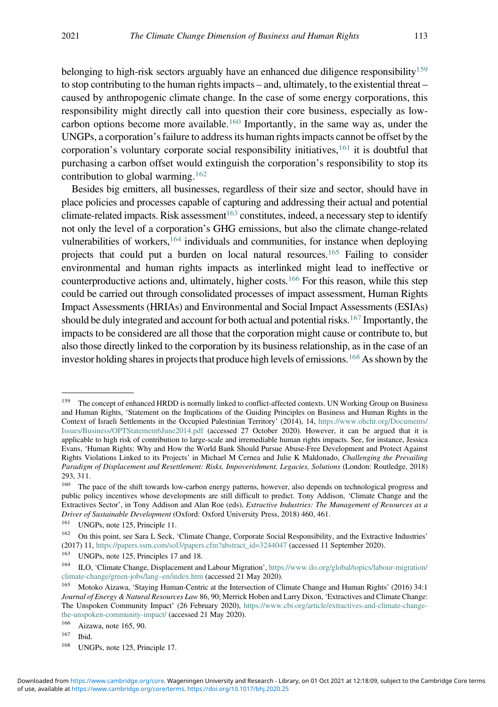belonging to high-risk sectors arguably have an enhanced due diligence responsibility<sup>159</sup> to stop contributing to the human rights impacts – and, ultimately, to the existential threat – caused by anthropogenic climate change. In the case of some energy corporations, this responsibility might directly call into question their core business, especially as lowcarbon options become more available.<sup>160</sup> Importantly, in the same way as, under the UNGPs, a corporation's failure to address its human rights impacts cannot be offset by the corporation's voluntary corporate social responsibility initiatives,<sup>161</sup> it is doubtful that purchasing a carbon offset would extinguish the corporation's responsibility to stop its contribution to global warming.<sup>162</sup>

Besides big emitters, all businesses, regardless of their size and sector, should have in place policies and processes capable of capturing and addressing their actual and potential climate-related impacts. Risk assessment<sup>163</sup> constitutes, indeed, a necessary step to identify not only the level of a corporation's GHG emissions, but also the climate change-related vulnerabilities of workers,  $164$  individuals and communities, for instance when deploying projects that could put a burden on local natural resources.165 Failing to consider environmental and human rights impacts as interlinked might lead to ineffective or counterproductive actions and, ultimately, higher costs.<sup>166</sup> For this reason, while this step could be carried out through consolidated processes of impact assessment, Human Rights Impact Assessments (HRIAs) and Environmental and Social Impact Assessments (ESIAs) should be duly integrated and account for both actual and potential risks.<sup>167</sup> Importantly, the impacts to be considered are all those that the corporation might cause or contribute to, but also those directly linked to the corporation by its business relationship, as in the case of an investor holding shares in projects that produce high levels of emissions.<sup>168</sup> As shown by the

<sup>&</sup>lt;sup>159</sup> The concept of enhanced HRDD is normally linked to conflict-affected contexts. UN Working Group on Business and Human Rights, 'Statement on the Implications of the Guiding Principles on Business and Human Rights in the Context of Israeli Settlements in the Occupied Palestinian Territory' (2014), 14, [https://www.ohchr.org/Documents/](https://www.ohchr.org/Documents/Issues/Business/OPTStatement6June2014.pdf) [Issues/Business/OPTStatement6June2014.pdf](https://www.ohchr.org/Documents/Issues/Business/OPTStatement6June2014.pdf) (accessed 27 October 2020). However, it can be argued that it is applicable to high risk of contribution to large-scale and irremediable human rights impacts. See, for instance, Jessica Evans, 'Human Rights: Why and How the World Bank Should Pursue Abuse-Free Development and Protect Against Rights Violations Linked to its Projects' in Michael M Cernea and Julie K Maldonado, Challenging the Prevailing Paradigm of Displacement and Resettlement: Risks, Impoverishment, Legacies, Solutions (London: Routledge, 2018) 293, 311.<br> $^{160}$  The

The pace of the shift towards low-carbon energy patterns, however, also depends on technological progress and public policy incentives whose developments are still difficult to predict. Tony Addison, 'Climate Change and the Extractives Sector', in Tony Addison and Alan Roe (eds), Extractive Industries: The Management of Resources as a Driver of Sustainable Development (Oxford: Oxford University Press, 2018) 460, 461.

<sup>&</sup>lt;sup>161</sup> UNGPs, note 125, Principle 11.

<sup>&</sup>lt;sup>162</sup> On this point, see Sara L Seck, 'Climate Change, Corporate Social Responsibility, and the Extractive Industries' (2017) 11, [https://papers.ssrn.com/sol3/papers.cfm?abstract\\_id=3244047](https://papers.ssrn.com/sol3/papers.cfm?abstract_id=3244047) (accessed 11 September 2020).

<sup>&</sup>lt;sup>163</sup> UNGPs, note 125, Principles 17 and 18.<br><sup>164</sup> II O. Climate Change Displacement and

<sup>164</sup> ILO, 'Climate Change, Displacement and Labour Migration', [https://www.ilo.org/global/topics/labour-migration/](https://www.ilo.org/global/topics/labour-migration/climate-change/green-jobs/lang--en/index.htm) [climate-change/green-jobs/lang](https://www.ilo.org/global/topics/labour-migration/climate-change/green-jobs/lang--en/index.htm)–en/index.htm (accessed 21 May 2020).

<sup>165</sup> Motoko Aizawa, 'Staying Human-Centric at the Intersection of Climate Change and Human Rights' (2016) 34:1 Journal of Energy & Natural Resources Law 86, 90; Merrick Hoben and Larry Dixon, 'Extractives and Climate Change: The Unspoken Community Impact' (26 February 2020), [https://www.cbi.org/article/extractives-and-climate-change](https://www.cbi.org/article/extractives-and-climate-change-the-unspoken-community-impact/)[the-unspoken-community-impact/](https://www.cbi.org/article/extractives-and-climate-change-the-unspoken-community-impact/) (accessed 21 May 2020).<br><sup>166</sup> Airouis, pote 165, 00

 $\frac{166}{167}$  Aizawa, note 165, 90.

Ibid.

<sup>168</sup> UNGPs, note 125, Principle 17.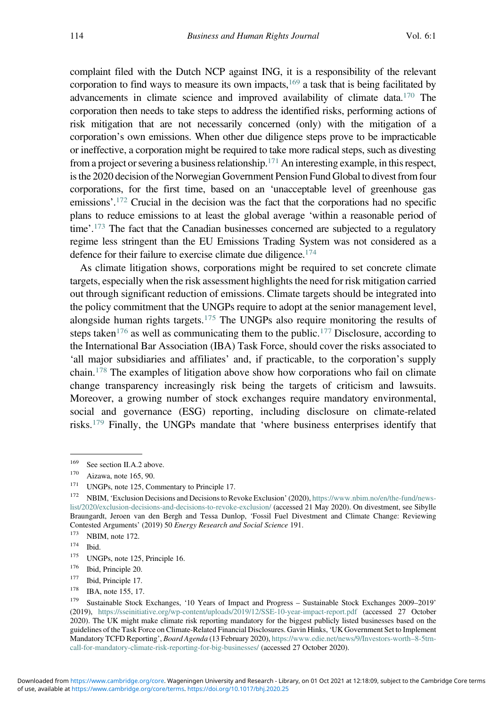complaint filed with the Dutch NCP against ING, it is a responsibility of the relevant corporation to find ways to measure its own impacts, $169$  a task that is being facilitated by advancements in climate science and improved availability of climate data.170 The corporation then needs to take steps to address the identified risks, performing actions of risk mitigation that are not necessarily concerned (only) with the mitigation of a corporation's own emissions. When other due diligence steps prove to be impracticable or ineffective, a corporation might be required to take more radical steps, such as divesting from a project or severing a business relationship.<sup>171</sup> An interesting example, in this respect, is the 2020 decision of the Norwegian Government Pension Fund Global to divest from four corporations, for the first time, based on an 'unacceptable level of greenhouse gas emissions'. <sup>172</sup> Crucial in the decision was the fact that the corporations had no specific plans to reduce emissions to at least the global average 'within a reasonable period of time'.<sup>173</sup> The fact that the Canadian businesses concerned are subjected to a regulatory regime less stringent than the EU Emissions Trading System was not considered as a defence for their failure to exercise climate due diligence.<sup>174</sup>

As climate litigation shows, corporations might be required to set concrete climate targets, especially when the risk assessment highlights the need for risk mitigation carried out through significant reduction of emissions. Climate targets should be integrated into the policy commitment that the UNGPs require to adopt at the senior management level, alongside human rights targets.<sup>175</sup> The UNGPs also require monitoring the results of steps taken<sup>176</sup> as well as communicating them to the public.<sup>177</sup> Disclosure, according to the International Bar Association (IBA) Task Force, should cover the risks associated to 'all major subsidiaries and affiliates' and, if practicable, to the corporation's supply chain.<sup>178</sup> The examples of litigation above show how corporations who fail on climate change transparency increasingly risk being the targets of criticism and lawsuits. Moreover, a growing number of stock exchanges require mandatory environmental, social and governance (ESG) reporting, including disclosure on climate-related risks.<sup>179</sup> Finally, the UNGPs mandate that 'where business enterprises identify that

<sup>&</sup>lt;sup>169</sup> See section II.A.2 above.

 $^{170}$  Aizawa, note 165, 90.<br><sup>171</sup> INGP<sub>s</sub> note 125 Co.

<sup>&</sup>lt;sup>171</sup> UNGPs, note 125, Commentary to Principle 17.<br><sup>172</sup> MBDA (Frankrike Decisions and Decisions to De

<sup>172</sup> NBIM, 'Exclusion Decisions and Decisions to Revoke Exclusion' (2020), [https://www.nbim.no/en/the-fund/news](https://www.nbim.no/en/the-fund/news-list/2020/exclusion-decisions-and-decisions-to-revoke-exclusion/)[list/2020/exclusion-decisions-and-decisions-to-revoke-exclusion/](https://www.nbim.no/en/the-fund/news-list/2020/exclusion-decisions-and-decisions-to-revoke-exclusion/) (accessed 21 May 2020). On divestment, see Sibylle Braungardt, Jeroen van den Bergh and Tessa Dunlop, 'Fossil Fuel Divestment and Climate Change: Reviewing Contested Arguments' (2019) 50 Energy Research and Social Science 191.

 $^{173}$  NBIM, note 172.

 $\frac{174}{175}$  Ibid.

UNGPs, note 125, Principle 16.

<sup>&</sup>lt;sup>176</sup> Ibid, Principle 20.

<sup>&</sup>lt;sup>177</sup> Ibid, Principle 17.

IBA, note 155, 17.

<sup>179</sup> Sustainable Stock Exchanges, '10 Years of Impact and Progress – Sustainable Stock Exchanges 2009–2019' (2019), <https://sseinitiative.org/wp-content/uploads/2019/12/SSE-10-year-impact-report.pdf> (accessed 27 October 2020). The UK might make climate risk reporting mandatory for the biggest publicly listed businesses based on the guidelines of the Task Force on Climate-Related Financial Disclosures. Gavin Hinks, 'UK Government Set to Implement Mandatory TCFD Reporting', Board Agenda (13 February 2020), [https://www.edie.net/news/9/Investors-worth](https://www.edie.net/news/9/Investors-worth--8-5trn-call-for-mandatory-climate-risk-reporting-for-big-businesses/)–8-5trn[call-for-mandatory-climate-risk-reporting-for-big-businesses/](https://www.edie.net/news/9/Investors-worth--8-5trn-call-for-mandatory-climate-risk-reporting-for-big-businesses/) (accessed 27 October 2020).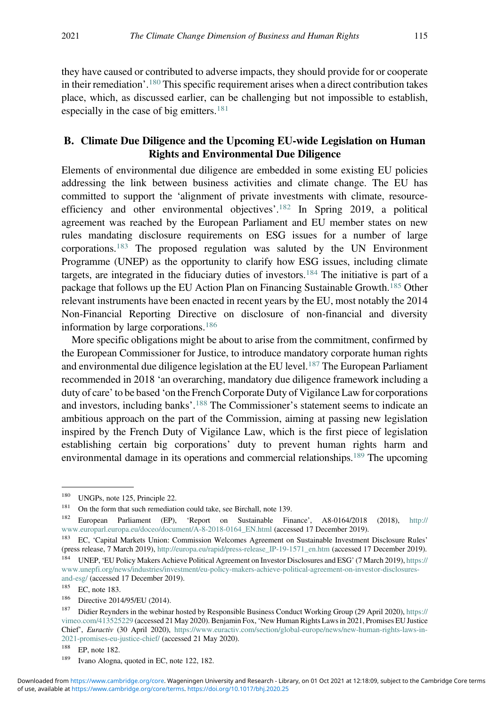they have caused or contributed to adverse impacts, they should provide for or cooperate in their remediation'. <sup>180</sup> This specific requirement arises when a direct contribution takes place, which, as discussed earlier, can be challenging but not impossible to establish, especially in the case of big emitters.<sup>181</sup>

#### B. Climate Due Diligence and the Upcoming EU-wide Legislation on Human Rights and Environmental Due Diligence

Elements of environmental due diligence are embedded in some existing EU policies addressing the link between business activities and climate change. The EU has committed to support the 'alignment of private investments with climate, resourceefficiency and other environmental objectives'. <sup>182</sup> In Spring 2019, a political agreement was reached by the European Parliament and EU member states on new rules mandating disclosure requirements on ESG issues for a number of large corporations.<sup>183</sup> The proposed regulation was saluted by the UN Environment Programme (UNEP) as the opportunity to clarify how ESG issues, including climate targets, are integrated in the fiduciary duties of investors.<sup>184</sup> The initiative is part of a package that follows up the EU Action Plan on Financing Sustainable Growth.<sup>185</sup> Other relevant instruments have been enacted in recent years by the EU, most notably the 2014 Non-Financial Reporting Directive on disclosure of non-financial and diversity information by large corporations.<sup>186</sup>

More specific obligations might be about to arise from the commitment, confirmed by the European Commissioner for Justice, to introduce mandatory corporate human rights and environmental due diligence legislation at the EU level.<sup>187</sup> The European Parliament recommended in 2018 'an overarching, mandatory due diligence framework including a duty of care'to be based 'on the French Corporate Duty of Vigilance Law for corporations and investors, including banks'.<sup>188</sup> The Commissioner's statement seems to indicate an ambitious approach on the part of the Commission, aiming at passing new legislation inspired by the French Duty of Vigilance Law, which is the first piece of legislation establishing certain big corporations' duty to prevent human rights harm and environmental damage in its operations and commercial relationships.189 The upcoming

<sup>&</sup>lt;sup>180</sup> UNGPs, note 125, Principle 22.<br><sup>181</sup> On the form that such remadiation

<sup>&</sup>lt;sup>181</sup> On the form that such remediation could take, see Birchall, note 139.<br><sup>182</sup> European Parliament (EP) 'Report on Sustainable Fin

<sup>182</sup> European Parliament (EP), 'Report on Sustainable Finance', A8-0164/2018 (2018), [http://](http://www.europarl.europa.eu/doceo/document/A-8-2018-0164_EN.html) [www.europarl.europa.eu/doceo/document/A-8-2018-0164\\_EN.html](http://www.europarl.europa.eu/doceo/document/A-8-2018-0164_EN.html) (accessed 17 December 2019).

<sup>&</sup>lt;sup>183</sup> EC, 'Capital Markets Union: Commission Welcomes Agreement on Sustainable Investment Disclosure Rules' (press release, 7 March 2019), [http://europa.eu/rapid/press-release\\_IP-19-1571\\_en.htm](http://europa.eu/rapid/press-release_IP-19-1571_en.htm) (accessed 17 December 2019).

<sup>184</sup> UNEP, 'EU Policy Makers Achieve Political Agreement on Investor Disclosures and ESG' (7 March 2019), [https://](https://www.unepfi.org/news/industries/investment/eu-policy-makers-achieve-political-agreement-on-investor-disclosures-and-esg/) [www.unepfi.org/news/industries/investment/eu-policy-makers-achieve-political-agreement-on-investor-disclosures](https://www.unepfi.org/news/industries/investment/eu-policy-makers-achieve-political-agreement-on-investor-disclosures-and-esg/)[and-esg/](https://www.unepfi.org/news/industries/investment/eu-policy-makers-achieve-political-agreement-on-investor-disclosures-and-esg/) (accessed 17 December 2019).

<sup>185</sup> EC, note 183.

<sup>186</sup> Directive 2014/95/EU (2014).

<sup>187</sup> Didier Reynders in the webinar hosted by Responsible Business Conduct Working Group (29 April 2020), [https://](https://vimeo.com/413525229) [vimeo.com/413525229](https://vimeo.com/413525229) (accessed 21 May 2020). Benjamin Fox,'New Human Rights Laws in 2021, Promises EU Justice Chief', Euractiv (30 April 2020), [https://www.euractiv.com/section/global-europe/news/new-human-rights-laws-in-](https://www.euractiv.com/section/global-europe/news/new-human-rights-laws-in-2021-promises-eu-justice-chief/)[2021-promises-eu-justice-chief/](https://www.euractiv.com/section/global-europe/news/new-human-rights-laws-in-2021-promises-eu-justice-chief/) (accessed 21 May 2020).

<sup>188</sup> EP, note 182.

<sup>189</sup> Ivano Alogna, quoted in EC, note 122, 182.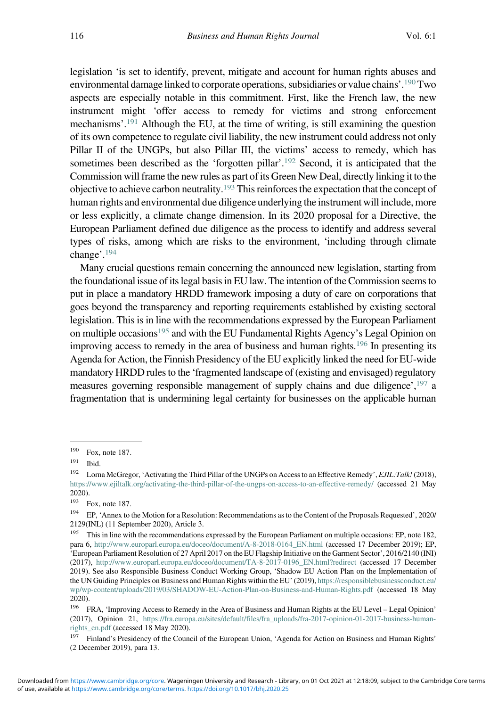legislation 'is set to identify, prevent, mitigate and account for human rights abuses and environmental damage linked to corporate operations, subsidiaries or value chains'. 190Two aspects are especially notable in this commitment. First, like the French law, the new instrument might 'offer access to remedy for victims and strong enforcement mechanisms'. <sup>191</sup> Although the EU, at the time of writing, is still examining the question of its own competence to regulate civil liability, the new instrument could address not only Pillar II of the UNGPs, but also Pillar III, the victims' access to remedy, which has sometimes been described as the 'forgotten pillar'. <sup>192</sup> Second, it is anticipated that the Commission will frame the new rules as part of its Green New Deal, directly linking it to the objective to achieve carbon neutrality.193 This reinforces the expectation that the concept of human rights and environmental due diligence underlying the instrument will include, more or less explicitly, a climate change dimension. In its 2020 proposal for a Directive, the European Parliament defined due diligence as the process to identify and address several types of risks, among which are risks to the environment, 'including through climate change'. 194

Many crucial questions remain concerning the announced new legislation, starting from the foundational issue of its legal basis in EU law. The intention of the Commission seems to put in place a mandatory HRDD framework imposing a duty of care on corporations that goes beyond the transparency and reporting requirements established by existing sectoral legislation. This is in line with the recommendations expressed by the European Parliament on multiple occasions<sup>195</sup> and with the EU Fundamental Rights Agency's Legal Opinion on improving access to remedy in the area of business and human rights.<sup>196</sup> In presenting its Agenda for Action, the Finnish Presidency of the EU explicitly linked the need for EU-wide mandatory HRDD rules to the 'fragmented landscape of (existing and envisaged) regulatory measures governing responsible management of supply chains and due diligence',<sup>197</sup> a fragmentation that is undermining legal certainty for businesses on the applicable human

 $190$  Fox, note 187.<br> $191$  Ibid

 $\frac{191}{192}$  Ibid.

Lorna McGregor, 'Activating the Third Pillar of the UNGPs on Access to an Effective Remedy', EJIL:Talk! (2018), <https://www.ejiltalk.org/activating-the-third-pillar-of-the-ungps-on-access-to-an-effective-remedy/> (accessed 21 May 2020).

<sup>193</sup> Fox, note 187.

<sup>194</sup> EP, 'Annex to the Motion for a Resolution: Recommendations as to the Content of the Proposals Requested', 2020/ 2129(INL) (11 September 2020), Article 3.

<sup>&</sup>lt;sup>195</sup> This in line with the recommendations expressed by the European Parliament on multiple occasions: EP, note 182, para 6, [http://www.europarl.europa.eu/doceo/document/A-8-2018-0164\\_EN.html](http://www.europarl.europa.eu/doceo/document/A-8-2018-0164_EN.html) (accessed 17 December 2019); EP, 'European Parliament Resolution of 27 April 2017 on the EU Flagship Initiative on the Garment Sector', 2016/2140 (INI) (2017), [http://www.europarl.europa.eu/doceo/document/TA-8-2017-0196\\_EN.html?redirect](http://www.europarl.europa.eu/doceo/document/TA-8-2017-0196_EN.html?redirect) (accessed 17 December 2019). See also Responsible Business Conduct Working Group, 'Shadow EU Action Plan on the Implementation of the UN Guiding Principles on Business and Human Rights within the EU' (2019), [https://responsiblebusinessconduct.eu/](https://responsiblebusinessconduct.eu/wp/wp-content/uploads/2019/03/SHADOW-EU-Action-Plan-on-Business-and-Human-Rights.pdf) [wp/wp-content/uploads/2019/03/SHADOW-EU-Action-Plan-on-Business-and-Human-Rights.pdf](https://responsiblebusinessconduct.eu/wp/wp-content/uploads/2019/03/SHADOW-EU-Action-Plan-on-Business-and-Human-Rights.pdf) (accessed 18 May 2020).

<sup>196</sup> FRA, 'Improving Access to Remedy in the Area of Business and Human Rights at the EU Level – Legal Opinion' (2017), Opinion 21, [https://fra.europa.eu/sites/default/files/fra\\_uploads/fra-2017-opinion-01-2017-business-human](https://fra.europa.eu/sites/default/files/fra_uploads/fra-2017-opinion-01-2017-business-human-rights_en.pdf)[rights\\_en.pdf](https://fra.europa.eu/sites/default/files/fra_uploads/fra-2017-opinion-01-2017-business-human-rights_en.pdf) (accessed 18 May 2020).

<sup>&</sup>lt;sup>197</sup> Finland's Presidency of the Council of the European Union, 'Agenda for Action on Business and Human Rights' (2 December 2019), para 13.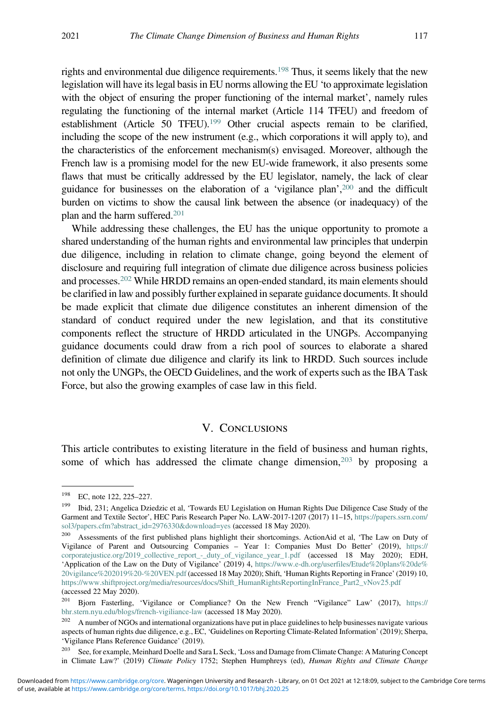rights and environmental due diligence requirements.198 Thus, it seems likely that the new legislation will have its legal basis in EU norms allowing the EU 'to approximate legislation with the object of ensuring the proper functioning of the internal market', namely rules regulating the functioning of the internal market (Article 114 TFEU) and freedom of establishment (Article 50 TFEU).<sup>199</sup> Other crucial aspects remain to be clarified, including the scope of the new instrument (e.g., which corporations it will apply to), and the characteristics of the enforcement mechanism(s) envisaged. Moreover, although the French law is a promising model for the new EU-wide framework, it also presents some flaws that must be critically addressed by the EU legislator, namely, the lack of clear guidance for businesses on the elaboration of a 'vigilance plan', <sup>200</sup> and the difficult burden on victims to show the causal link between the absence (or inadequacy) of the plan and the harm suffered.201

While addressing these challenges, the EU has the unique opportunity to promote a shared understanding of the human rights and environmental law principles that underpin due diligence, including in relation to climate change, going beyond the element of disclosure and requiring full integration of climate due diligence across business policies and processes.202 While HRDD remains an open-ended standard, its main elements should be clarified in law and possibly further explained in separate guidance documents. It should be made explicit that climate due diligence constitutes an inherent dimension of the standard of conduct required under the new legislation, and that its constitutive components reflect the structure of HRDD articulated in the UNGPs. Accompanying guidance documents could draw from a rich pool of sources to elaborate a shared definition of climate due diligence and clarify its link to HRDD. Such sources include not only the UNGPs, the OECD Guidelines, and the work of experts such as the IBA Task Force, but also the growing examples of case law in this field.

## **V. CONCLUSIONS**

This article contributes to existing literature in the field of business and human rights, some of which has addressed the climate change dimension, $203$  by proposing a

<sup>198</sup> EC, note 122, 225–227.

<sup>199</sup> Ibid, 231; Angelica Dziedzic et al, 'Towards EU Legislation on Human Rights Due Diligence Case Study of the Garment and Textile Sector', HEC Paris Research Paper No. LAW-2017-1207 (2017) 11–15, [https://papers.ssrn.com/](https://papers.ssrn.com/sol3/papers.cfm?abstract_id=2976330download=yes) [sol3/papers.cfm?abstract\\_id=2976330&download=yes](https://papers.ssrn.com/sol3/papers.cfm?abstract_id=2976330download=yes) (accessed 18 May 2020).

<sup>200</sup> Assessments of the first published plans highlight their shortcomings. ActionAid et al, 'The Law on Duty of Vigilance of Parent and Outsourcing Companies – Year 1: Companies Must Do Better' (2019), [https://](https://corporatejustice.org/2019_collective_report_-_duty_of_vigilance_year_1.pdf) [corporatejustice.org/2019\\_collective\\_report\\_-\\_duty\\_of\\_vigilance\\_year\\_1.pdf](https://corporatejustice.org/2019_collective_report_-_duty_of_vigilance_year_1.pdf) (accessed 18 May 2020); EDH, 'Application of the Law on the Duty of Vigilance' (2019) 4, [https://www.e-dh.org/userfiles/Etude%20plans%20de%](https://www.e-dh.org/userfiles/Etude%20plans%20de%20vigilance%202019%20-%20VEN.pdf) [20vigilance%202019%20-%20VEN.pdf](https://www.e-dh.org/userfiles/Etude%20plans%20de%20vigilance%202019%20-%20VEN.pdf) (accessed 18 May 2020); Shift, 'Human Rights Reporting in France' (2019) 10, [https://www.shiftproject.org/media/resources/docs/Shift\\_HumanRightsReportingInFrance\\_Part2\\_vNov25.pdf](https://www.shiftproject.org/media/resources/docs/Shift_HumanRightsReportingInFrance_Part2_vNov25.pdf) (accessed 22 May 2020).

<sup>201</sup> Bjorn Fasterling, 'Vigilance or Compliance? On the New French "Vigilance" Law' (2017), [https://](https://bhr.stern.nyu.edu/blogs/french-vigiliance-law) [bhr.stern.nyu.edu/blogs/french-vigiliance-law](https://bhr.stern.nyu.edu/blogs/french-vigiliance-law) (accessed 18 May 2020).

<sup>&</sup>lt;sup>202</sup> A number of NGOs and international organizations have put in place guidelines to help businesses navigate various aspects of human rights due diligence, e.g., EC, 'Guidelines on Reporting Climate-Related Information' (2019); Sherpa, 'Vigilance Plans Reference Guidance' (2019).

<sup>&</sup>lt;sup>203</sup> See, for example, Meinhard Doelle and Sara L Seck, 'Loss and Damage from Climate Change: A Maturing Concept in Climate Law?' (2019) Climate Policy 1752; Stephen Humphreys (ed), Human Rights and Climate Change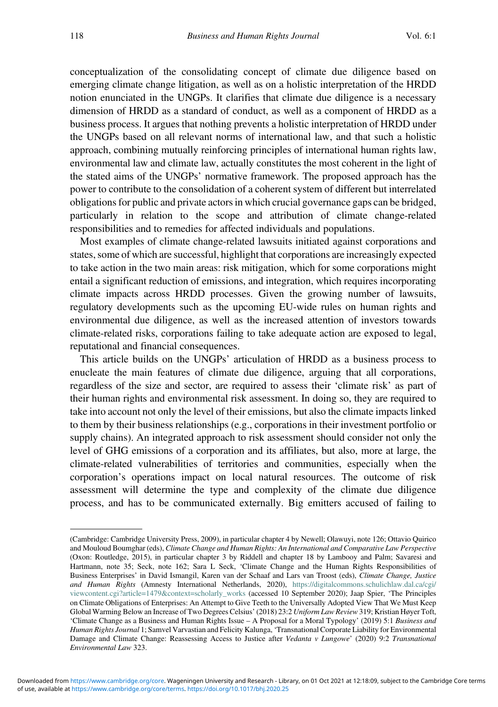conceptualization of the consolidating concept of climate due diligence based on emerging climate change litigation, as well as on a holistic interpretation of the HRDD notion enunciated in the UNGPs. It clarifies that climate due diligence is a necessary dimension of HRDD as a standard of conduct, as well as a component of HRDD as a business process. It argues that nothing prevents a holistic interpretation of HRDD under the UNGPs based on all relevant norms of international law, and that such a holistic approach, combining mutually reinforcing principles of international human rights law, environmental law and climate law, actually constitutes the most coherent in the light of the stated aims of the UNGPs' normative framework. The proposed approach has the power to contribute to the consolidation of a coherent system of different but interrelated obligations for public and private actors in which crucial governance gaps can be bridged, particularly in relation to the scope and attribution of climate change-related responsibilities and to remedies for affected individuals and populations.

Most examples of climate change-related lawsuits initiated against corporations and states, some of which are successful, highlight that corporations are increasingly expected to take action in the two main areas: risk mitigation, which for some corporations might entail a significant reduction of emissions, and integration, which requires incorporating climate impacts across HRDD processes. Given the growing number of lawsuits, regulatory developments such as the upcoming EU-wide rules on human rights and environmental due diligence, as well as the increased attention of investors towards climate-related risks, corporations failing to take adequate action are exposed to legal, reputational and financial consequences.

This article builds on the UNGPs' articulation of HRDD as a business process to enucleate the main features of climate due diligence, arguing that all corporations, regardless of the size and sector, are required to assess their 'climate risk' as part of their human rights and environmental risk assessment. In doing so, they are required to take into account not only the level of their emissions, but also the climate impacts linked to them by their business relationships (e.g., corporations in their investment portfolio or supply chains). An integrated approach to risk assessment should consider not only the level of GHG emissions of a corporation and its affiliates, but also, more at large, the climate-related vulnerabilities of territories and communities, especially when the corporation's operations impact on local natural resources. The outcome of risk assessment will determine the type and complexity of the climate due diligence process, and has to be communicated externally. Big emitters accused of failing to

<sup>(</sup>Cambridge: Cambridge University Press, 2009), in particular chapter 4 by Newell; Olawuyi, note 126; Ottavio Quirico and Mouloud Boumghar (eds), Climate Change and Human Rights: An International and Comparative Law Perspective (Oxon: Routledge, 2015), in particular chapter 3 by Riddell and chapter 18 by Lambooy and Palm; Savaresi and Hartmann, note 35; Seck, note 162; Sara L Seck, 'Climate Change and the Human Rights Responsibilities of Business Enterprises' in David Ismangil, Karen van der Schaaf and Lars van Troost (eds), Climate Change, Justice and Human Rights (Amnesty International Netherlands, 2020), [https://digitalcommons.schulichlaw.dal.ca/cgi/](https://digitalcommons.schulichlaw.dal.ca/cgi/viewcontent.cgi?article=1479context=scholarly_works) [viewcontent.cgi?article=1479&context=scholarly\\_works](https://digitalcommons.schulichlaw.dal.ca/cgi/viewcontent.cgi?article=1479context=scholarly_works) (accessed 10 September 2020); Jaap Spier, 'The Principles on Climate Obligations of Enterprises: An Attempt to Give Teeth to the Universally Adopted View That We Must Keep Global Warming Below an Increase of Two Degrees Celsius' (2018) 23:2 Uniform Law Review 319; Kristian Høyer Toft, 'Climate Change as a Business and Human Rights Issue – A Proposal for a Moral Typology' (2019) 5:1 Business and Human Rights Journal 1; Samvel Varvastian and Felicity Kalunga, 'Transnational Corporate Liability for Environmental Damage and Climate Change: Reassessing Access to Justice after Vedanta v Lungowe' (2020) 9:2 Transnational Environmental Law 323.